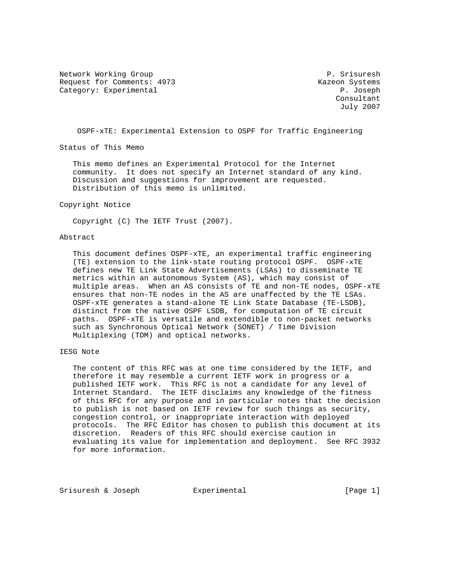Network Working Group P. Srisuresh Request for Comments: 4973 Kazeon Systems Category: Experimental P. Joseph

 Consultant July 2007

OSPF-xTE: Experimental Extension to OSPF for Traffic Engineering

Status of This Memo

 This memo defines an Experimental Protocol for the Internet community. It does not specify an Internet standard of any kind. Discussion and suggestions for improvement are requested. Distribution of this memo is unlimited.

#### Copyright Notice

Copyright (C) The IETF Trust (2007).

#### Abstract

 This document defines OSPF-xTE, an experimental traffic engineering (TE) extension to the link-state routing protocol OSPF. OSPF-xTE defines new TE Link State Advertisements (LSAs) to disseminate TE metrics within an autonomous System (AS), which may consist of multiple areas. When an AS consists of TE and non-TE nodes, OSPF-xTE ensures that non-TE nodes in the AS are unaffected by the TE LSAs. OSPF-xTE generates a stand-alone TE Link State Database (TE-LSDB), distinct from the native OSPF LSDB, for computation of TE circuit paths. OSPF-xTE is versatile and extendible to non-packet networks such as Synchronous Optical Network (SONET) / Time Division Multiplexing (TDM) and optical networks.

# IESG Note

 The content of this RFC was at one time considered by the IETF, and therefore it may resemble a current IETF work in progress or a published IETF work. This RFC is not a candidate for any level of Internet Standard. The IETF disclaims any knowledge of the fitness of this RFC for any purpose and in particular notes that the decision to publish is not based on IETF review for such things as security, congestion control, or inappropriate interaction with deployed protocols. The RFC Editor has chosen to publish this document at its discretion. Readers of this RFC should exercise caution in evaluating its value for implementation and deployment. See RFC 3932 for more information.

Srisuresh & Joseph Experimental (Page 1)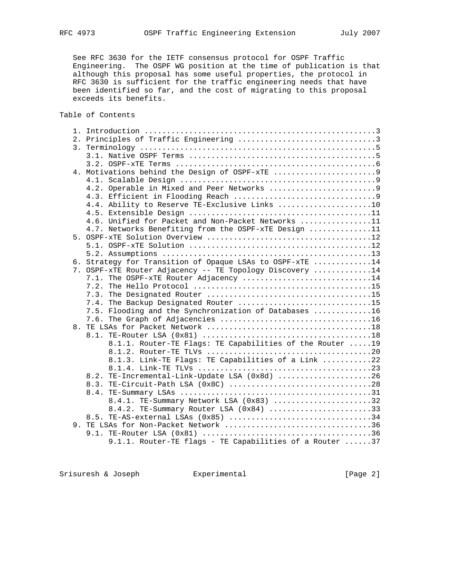See RFC 3630 for the IETF consensus protocol for OSPF Traffic Engineering. The OSPF WG position at the time of publication is that although this proposal has some useful properties, the protocol in RFC 3630 is sufficient for the traffic engineering needs that have been identified so far, and the cost of migrating to this proposal exceeds its benefits.

Table of Contents

|  | 4.4. Ability to Reserve TE-Exclusive Links 10            |
|--|----------------------------------------------------------|
|  |                                                          |
|  | 4.6. Unified for Packet and Non-Packet Networks 11       |
|  | 4.7. Networks Benefiting from the OSPF-xTE Design 11     |
|  |                                                          |
|  |                                                          |
|  |                                                          |
|  | 6. Strategy for Transition of Opaque LSAs to OSPF-XTE 14 |
|  | 7. OSPF-XTE Router Adjacency -- TE Topology Discovery 14 |
|  | 7.1. The OSPF-XTE Router Adjacency 14                    |
|  |                                                          |
|  |                                                          |
|  | 7.4. The Backup Designated Router 15                     |
|  | 7.5. Flooding and the Synchronization of Databases 16    |
|  |                                                          |
|  |                                                          |
|  |                                                          |
|  | 8.1.1. Router-TE Flags: TE Capabilities of the Router 19 |
|  |                                                          |
|  | 8.1.3. Link-TE Flags: TE Capabilities of a Link 22       |
|  |                                                          |
|  | 8.2. TE-Incremental-Link-Update LSA (0x8d) 26            |
|  | 8.3. TE-Circuit-Path LSA (0x8C) 28                       |
|  |                                                          |
|  | 8.4.1. TE-Summary Network LSA (0x83) 32                  |
|  | 8.4.2. TE-Summary Router LSA (0x84) 33                   |
|  | 8.5. TE-AS-external LSAs (0x85) 34                       |
|  | 9. TE LSAs for Non-Packet Network 36                     |
|  |                                                          |
|  | 9.1.1. Router-TE flags - TE Capabilities of a Router 37  |

Srisuresh & Joseph Experimental Figuresh & Joseph Experimental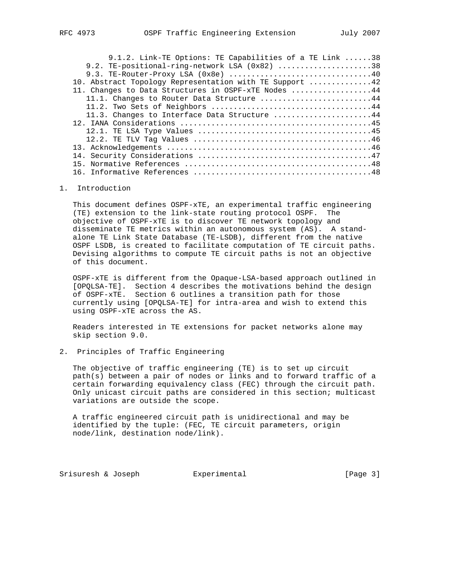| 9.1.2. Link-TE Options: TE Capabilities of a TE Link 38 |  |
|---------------------------------------------------------|--|
| 9.2. TE-positional-ring-network LSA (0x82) 38           |  |
|                                                         |  |
| 10. Abstract Topology Representation with TE Support 42 |  |
| 11. Changes to Data Structures in OSPF-XTE Nodes 44     |  |
| 11.1. Changes to Router Data Structure 44               |  |
|                                                         |  |
| 11.3. Changes to Interface Data Structure 44            |  |
|                                                         |  |
|                                                         |  |
|                                                         |  |
|                                                         |  |
|                                                         |  |
|                                                         |  |
|                                                         |  |

16. Informative References ........................................48

### 1. Introduction

 This document defines OSPF-xTE, an experimental traffic engineering (TE) extension to the link-state routing protocol OSPF. The objective of OSPF-xTE is to discover TE network topology and disseminate TE metrics within an autonomous system (AS). A stand alone TE Link State Database (TE-LSDB), different from the native OSPF LSDB, is created to facilitate computation of TE circuit paths. Devising algorithms to compute TE circuit paths is not an objective of this document.

 OSPF-xTE is different from the Opaque-LSA-based approach outlined in [OPQLSA-TE]. Section 4 describes the motivations behind the design of OSPF-xTE. Section 6 outlines a transition path for those currently using [OPQLSA-TE] for intra-area and wish to extend this using OSPF-xTE across the AS.

 Readers interested in TE extensions for packet networks alone may skip section 9.0.

# 2. Principles of Traffic Engineering

 The objective of traffic engineering (TE) is to set up circuit path(s) between a pair of nodes or links and to forward traffic of a certain forwarding equivalency class (FEC) through the circuit path. Only unicast circuit paths are considered in this section; multicast variations are outside the scope.

 A traffic engineered circuit path is unidirectional and may be identified by the tuple: (FEC, TE circuit parameters, origin node/link, destination node/link).

Srisuresh & Joseph Experimental [Page 3]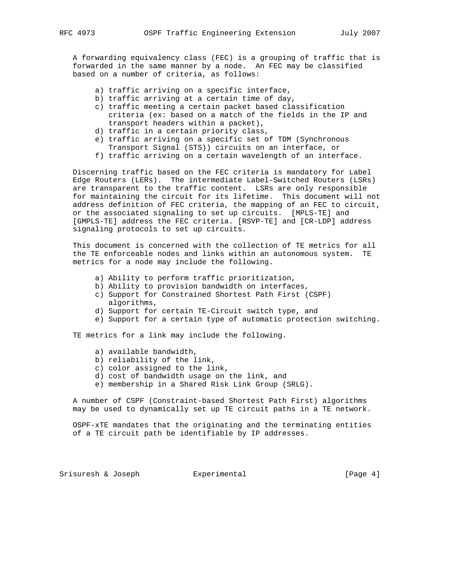A forwarding equivalency class (FEC) is a grouping of traffic that is forwarded in the same manner by a node. An FEC may be classified based on a number of criteria, as follows:

- a) traffic arriving on a specific interface,
- b) traffic arriving at a certain time of day,
- c) traffic meeting a certain packet based classification criteria (ex: based on a match of the fields in the IP and transport headers within a packet),
- d) traffic in a certain priority class,
- e) traffic arriving on a specific set of TDM (Synchronous Transport Signal (STS)) circuits on an interface, or
- f) traffic arriving on a certain wavelength of an interface.

 Discerning traffic based on the FEC criteria is mandatory for Label Edge Routers (LERs). The intermediate Label-Switched Routers (LSRs) are transparent to the traffic content. LSRs are only responsible for maintaining the circuit for its lifetime. This document will not address definition of FEC criteria, the mapping of an FEC to circuit, or the associated signaling to set up circuits. [MPLS-TE] and [GMPLS-TE] address the FEC criteria. [RSVP-TE] and [CR-LDP] address signaling protocols to set up circuits.

 This document is concerned with the collection of TE metrics for all the TE enforceable nodes and links within an autonomous system. TE metrics for a node may include the following.

- a) Ability to perform traffic prioritization,
- b) Ability to provision bandwidth on interfaces,
- c) Support for Constrained Shortest Path First (CSPF) algorithms,
- d) Support for certain TE-Circuit switch type, and
- e) Support for a certain type of automatic protection switching.

TE metrics for a link may include the following.

- a) available bandwidth,
- b) reliability of the link,
- c) color assigned to the link,
- d) cost of bandwidth usage on the link, and
- e) membership in a Shared Risk Link Group (SRLG).

 A number of CSPF (Constraint-based Shortest Path First) algorithms may be used to dynamically set up TE circuit paths in a TE network.

 OSPF-xTE mandates that the originating and the terminating entities of a TE circuit path be identifiable by IP addresses.

Srisuresh & Joseph Experimental Figuresh & Joseph Experimental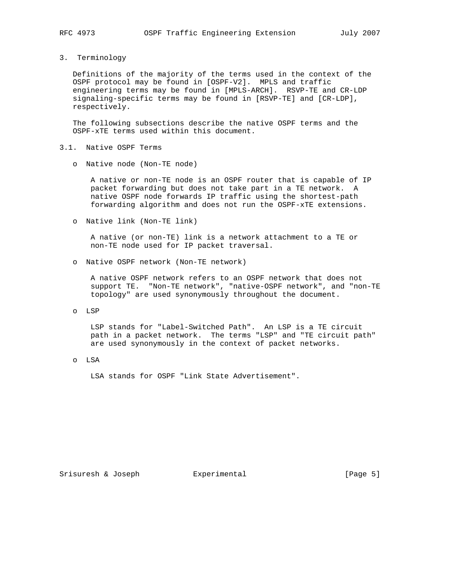3. Terminology

 Definitions of the majority of the terms used in the context of the OSPF protocol may be found in [OSPF-V2]. MPLS and traffic engineering terms may be found in [MPLS-ARCH]. RSVP-TE and CR-LDP signaling-specific terms may be found in [RSVP-TE] and [CR-LDP], respectively.

 The following subsections describe the native OSPF terms and the OSPF-xTE terms used within this document.

- 3.1. Native OSPF Terms
	- o Native node (Non-TE node)

 A native or non-TE node is an OSPF router that is capable of IP packet forwarding but does not take part in a TE network. A native OSPF node forwards IP traffic using the shortest-path forwarding algorithm and does not run the OSPF-xTE extensions.

o Native link (Non-TE link)

 A native (or non-TE) link is a network attachment to a TE or non-TE node used for IP packet traversal.

o Native OSPF network (Non-TE network)

 A native OSPF network refers to an OSPF network that does not support TE. "Non-TE network", "native-OSPF network", and "non-TE topology" are used synonymously throughout the document.

o LSP

 LSP stands for "Label-Switched Path". An LSP is a TE circuit path in a packet network. The terms "LSP" and "TE circuit path" are used synonymously in the context of packet networks.

o LSA

LSA stands for OSPF "Link State Advertisement".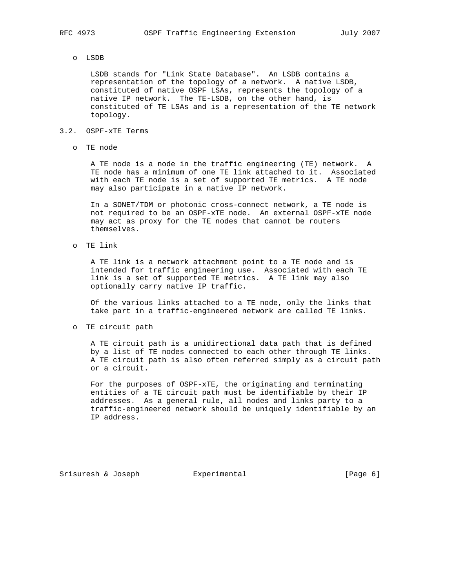o LSDB

 LSDB stands for "Link State Database". An LSDB contains a representation of the topology of a network. A native LSDB, constituted of native OSPF LSAs, represents the topology of a native IP network. The TE-LSDB, on the other hand, is constituted of TE LSAs and is a representation of the TE network topology.

#### 3.2. OSPF-xTE Terms

o TE node

 A TE node is a node in the traffic engineering (TE) network. A TE node has a minimum of one TE link attached to it. Associated with each TE node is a set of supported TE metrics. A TE node may also participate in a native IP network.

 In a SONET/TDM or photonic cross-connect network, a TE node is not required to be an OSPF-xTE node. An external OSPF-xTE node may act as proxy for the TE nodes that cannot be routers themselves.

o TE link

 A TE link is a network attachment point to a TE node and is intended for traffic engineering use. Associated with each TE link is a set of supported TE metrics. A TE link may also optionally carry native IP traffic.

 Of the various links attached to a TE node, only the links that take part in a traffic-engineered network are called TE links.

o TE circuit path

 A TE circuit path is a unidirectional data path that is defined by a list of TE nodes connected to each other through TE links. A TE circuit path is also often referred simply as a circuit path or a circuit.

 For the purposes of OSPF-xTE, the originating and terminating entities of a TE circuit path must be identifiable by their IP addresses. As a general rule, all nodes and links party to a traffic-engineered network should be uniquely identifiable by an IP address.

Srisuresh & Joseph Experimental (Page 6)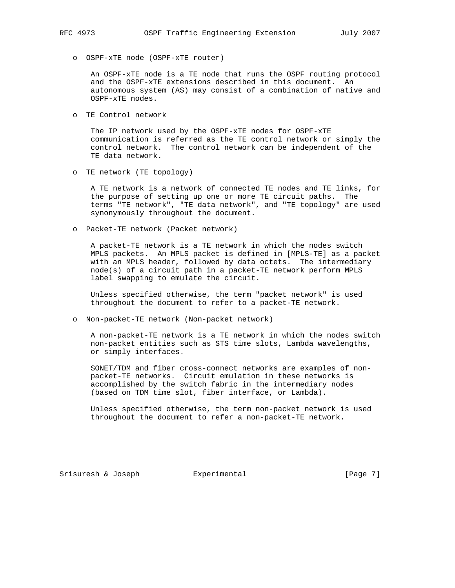o OSPF-xTE node (OSPF-xTE router)

 An OSPF-xTE node is a TE node that runs the OSPF routing protocol and the OSPF-xTE extensions described in this document. An autonomous system (AS) may consist of a combination of native and OSPF-xTE nodes.

o TE Control network

 The IP network used by the OSPF-xTE nodes for OSPF-xTE communication is referred as the TE control network or simply the control network. The control network can be independent of the TE data network.

o TE network (TE topology)

 A TE network is a network of connected TE nodes and TE links, for the purpose of setting up one or more TE circuit paths. The terms "TE network", "TE data network", and "TE topology" are used synonymously throughout the document.

o Packet-TE network (Packet network)

 A packet-TE network is a TE network in which the nodes switch MPLS packets. An MPLS packet is defined in [MPLS-TE] as a packet with an MPLS header, followed by data octets. The intermediary node(s) of a circuit path in a packet-TE network perform MPLS label swapping to emulate the circuit.

 Unless specified otherwise, the term "packet network" is used throughout the document to refer to a packet-TE network.

o Non-packet-TE network (Non-packet network)

 A non-packet-TE network is a TE network in which the nodes switch non-packet entities such as STS time slots, Lambda wavelengths, or simply interfaces.

 SONET/TDM and fiber cross-connect networks are examples of non packet-TE networks. Circuit emulation in these networks is accomplished by the switch fabric in the intermediary nodes (based on TDM time slot, fiber interface, or Lambda).

 Unless specified otherwise, the term non-packet network is used throughout the document to refer a non-packet-TE network.

Srisuresh & Joseph Experimental [Page 7]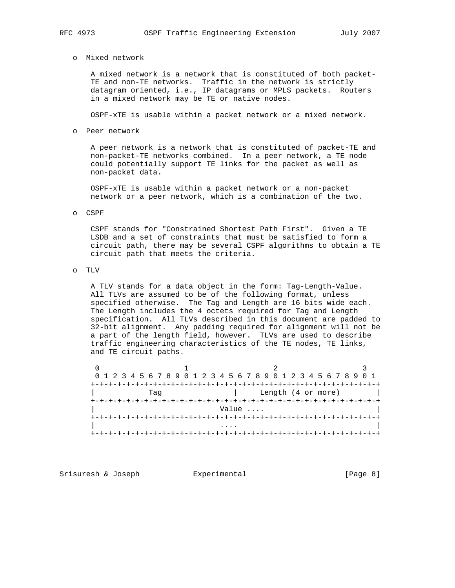o Mixed network

 A mixed network is a network that is constituted of both packet- TE and non-TE networks. Traffic in the network is strictly datagram oriented, i.e., IP datagrams or MPLS packets. Routers in a mixed network may be TE or native nodes.

OSPF-xTE is usable within a packet network or a mixed network.

o Peer network

 A peer network is a network that is constituted of packet-TE and non-packet-TE networks combined. In a peer network, a TE node could potentially support TE links for the packet as well as non-packet data.

 OSPF-xTE is usable within a packet network or a non-packet network or a peer network, which is a combination of the two.

#### o CSPF

 CSPF stands for "Constrained Shortest Path First". Given a TE LSDB and a set of constraints that must be satisfied to form a circuit path, there may be several CSPF algorithms to obtain a TE circuit path that meets the criteria.

o TLV

 A TLV stands for a data object in the form: Tag-Length-Value. All TLVs are assumed to be of the following format, unless specified otherwise. The Tag and Length are 16 bits wide each. The Length includes the 4 octets required for Tag and Length specification. All TLVs described in this document are padded to 32-bit alignment. Any padding required for alignment will not be a part of the length field, however. TLVs are used to describe traffic engineering characteristics of the TE nodes, TE links, and TE circuit paths.

| 0 1 2 3 4 5 6 7 8 9 0 1 2 3 4 5 6 7 8 9 0 1 2 3 4 5 6 7 8 9 0 1 |                |                    |  |  |  |  |  |  |  |  |  |  |  |
|-----------------------------------------------------------------|----------------|--------------------|--|--|--|--|--|--|--|--|--|--|--|
|                                                                 |                |                    |  |  |  |  |  |  |  |  |  |  |  |
| Taq                                                             |                | Length (4 or more) |  |  |  |  |  |  |  |  |  |  |  |
|                                                                 | -+-+-+-+-+-+-+ |                    |  |  |  |  |  |  |  |  |  |  |  |
| Value                                                           |                |                    |  |  |  |  |  |  |  |  |  |  |  |
|                                                                 |                |                    |  |  |  |  |  |  |  |  |  |  |  |
|                                                                 | .              |                    |  |  |  |  |  |  |  |  |  |  |  |
|                                                                 |                |                    |  |  |  |  |  |  |  |  |  |  |  |

Srisuresh & Joseph Experimental (Page 8)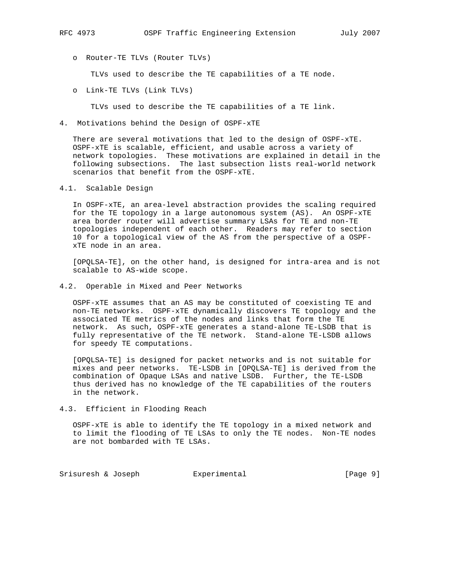- - o Router-TE TLVs (Router TLVs)

TLVs used to describe the TE capabilities of a TE node.

o Link-TE TLVs (Link TLVs)

TLVs used to describe the TE capabilities of a TE link.

4. Motivations behind the Design of OSPF-xTE

 There are several motivations that led to the design of OSPF-xTE. OSPF-xTE is scalable, efficient, and usable across a variety of network topologies. These motivations are explained in detail in the following subsections. The last subsection lists real-world network scenarios that benefit from the OSPF-xTE.

4.1. Scalable Design

 In OSPF-xTE, an area-level abstraction provides the scaling required for the TE topology in a large autonomous system (AS). An OSPF-xTE area border router will advertise summary LSAs for TE and non-TE topologies independent of each other. Readers may refer to section 10 for a topological view of the AS from the perspective of a OSPF xTE node in an area.

 [OPQLSA-TE], on the other hand, is designed for intra-area and is not scalable to AS-wide scope.

4.2. Operable in Mixed and Peer Networks

 OSPF-xTE assumes that an AS may be constituted of coexisting TE and non-TE networks. OSPF-xTE dynamically discovers TE topology and the associated TE metrics of the nodes and links that form the TE network. As such, OSPF-xTE generates a stand-alone TE-LSDB that is fully representative of the TE network. Stand-alone TE-LSDB allows for speedy TE computations.

 [OPQLSA-TE] is designed for packet networks and is not suitable for mixes and peer networks. TE-LSDB in [OPQLSA-TE] is derived from the combination of Opaque LSAs and native LSDB. Further, the TE-LSDB thus derived has no knowledge of the TE capabilities of the routers in the network.

4.3. Efficient in Flooding Reach

 OSPF-xTE is able to identify the TE topology in a mixed network and to limit the flooding of TE LSAs to only the TE nodes. Non-TE nodes are not bombarded with TE LSAs.

Srisuresh & Joseph Experimental Formula (Page 9)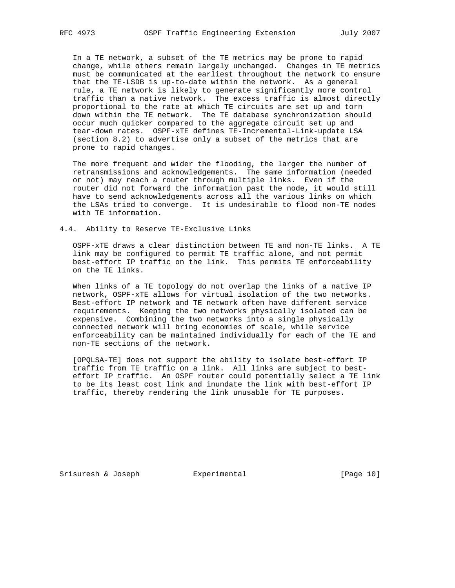In a TE network, a subset of the TE metrics may be prone to rapid change, while others remain largely unchanged. Changes in TE metrics must be communicated at the earliest throughout the network to ensure that the TE-LSDB is up-to-date within the network. As a general rule, a TE network is likely to generate significantly more control traffic than a native network. The excess traffic is almost directly proportional to the rate at which TE circuits are set up and torn down within the TE network. The TE database synchronization should occur much quicker compared to the aggregate circuit set up and tear-down rates. OSPF-xTE defines TE-Incremental-Link-update LSA (section 8.2) to advertise only a subset of the metrics that are prone to rapid changes.

 The more frequent and wider the flooding, the larger the number of retransmissions and acknowledgements. The same information (needed or not) may reach a router through multiple links. Even if the router did not forward the information past the node, it would still have to send acknowledgements across all the various links on which the LSAs tried to converge. It is undesirable to flood non-TE nodes with TE information.

### 4.4. Ability to Reserve TE-Exclusive Links

 OSPF-xTE draws a clear distinction between TE and non-TE links. A TE link may be configured to permit TE traffic alone, and not permit best-effort IP traffic on the link. This permits TE enforceability on the TE links.

 When links of a TE topology do not overlap the links of a native IP network, OSPF-xTE allows for virtual isolation of the two networks. Best-effort IP network and TE network often have different service requirements. Keeping the two networks physically isolated can be expensive. Combining the two networks into a single physically connected network will bring economies of scale, while service enforceability can be maintained individually for each of the TE and non-TE sections of the network.

 [OPQLSA-TE] does not support the ability to isolate best-effort IP traffic from TE traffic on a link. All links are subject to best effort IP traffic. An OSPF router could potentially select a TE link to be its least cost link and inundate the link with best-effort IP traffic, thereby rendering the link unusable for TE purposes.

Srisuresh & Joseph Experimental Formular (Page 10)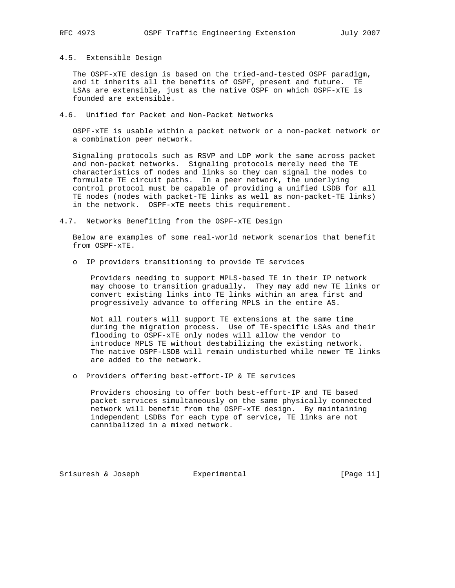4.5. Extensible Design

 The OSPF-xTE design is based on the tried-and-tested OSPF paradigm, and it inherits all the benefits of OSPF, present and future. TE LSAs are extensible, just as the native OSPF on which OSPF-xTE is founded are extensible.

4.6. Unified for Packet and Non-Packet Networks

 OSPF-xTE is usable within a packet network or a non-packet network or a combination peer network.

 Signaling protocols such as RSVP and LDP work the same across packet and non-packet networks. Signaling protocols merely need the TE characteristics of nodes and links so they can signal the nodes to formulate TE circuit paths. In a peer network, the underlying control protocol must be capable of providing a unified LSDB for all TE nodes (nodes with packet-TE links as well as non-packet-TE links) in the network. OSPF-xTE meets this requirement.

4.7. Networks Benefiting from the OSPF-xTE Design

 Below are examples of some real-world network scenarios that benefit from OSPF-xTE.

o IP providers transitioning to provide TE services

 Providers needing to support MPLS-based TE in their IP network may choose to transition gradually. They may add new TE links or convert existing links into TE links within an area first and progressively advance to offering MPLS in the entire AS.

 Not all routers will support TE extensions at the same time during the migration process. Use of TE-specific LSAs and their flooding to OSPF-xTE only nodes will allow the vendor to introduce MPLS TE without destabilizing the existing network. The native OSPF-LSDB will remain undisturbed while newer TE links are added to the network.

o Providers offering best-effort-IP & TE services

 Providers choosing to offer both best-effort-IP and TE based packet services simultaneously on the same physically connected network will benefit from the OSPF-xTE design. By maintaining independent LSDBs for each type of service, TE links are not cannibalized in a mixed network.

Srisuresh & Joseph Experimental [Page 11]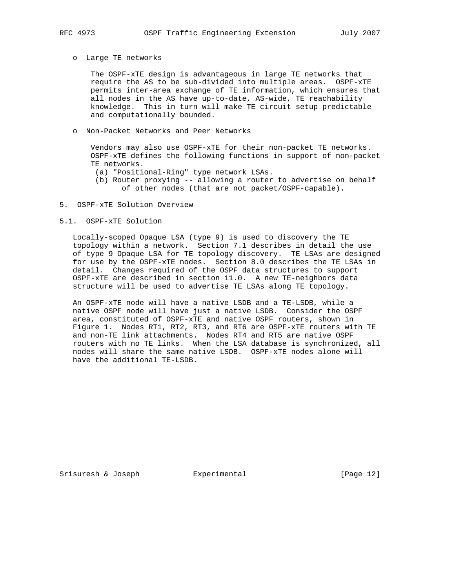#### o Large TE networks

 The OSPF-xTE design is advantageous in large TE networks that require the AS to be sub-divided into multiple areas. OSPF-xTE permits inter-area exchange of TE information, which ensures that all nodes in the AS have up-to-date, AS-wide, TE reachability knowledge. This in turn will make TE circuit setup predictable and computationally bounded.

# o Non-Packet Networks and Peer Networks

 Vendors may also use OSPF-xTE for their non-packet TE networks. OSPF-xTE defines the following functions in support of non-packet TE networks.

- (a) "Positional-Ring" type network LSAs.
- (b) Router proxying -- allowing a router to advertise on behalf of other nodes (that are not packet/OSPF-capable).

# 5. OSPF-xTE Solution Overview

#### 5.1. OSPF-xTE Solution

 Locally-scoped Opaque LSA (type 9) is used to discovery the TE topology within a network. Section 7.1 describes in detail the use of type 9 Opaque LSA for TE topology discovery. TE LSAs are designed for use by the OSPF-xTE nodes. Section 8.0 describes the TE LSAs in detail. Changes required of the OSPF data structures to support OSPF-xTE are described in section 11.0. A new TE-neighbors data structure will be used to advertise TE LSAs along TE topology.

 An OSPF-xTE node will have a native LSDB and a TE-LSDB, while a native OSPF node will have just a native LSDB. Consider the OSPF area, constituted of OSPF-xTE and native OSPF routers, shown in Figure 1. Nodes RT1, RT2, RT3, and RT6 are OSPF-xTE routers with TE and non-TE link attachments. Nodes RT4 and RT5 are native OSPF routers with no TE links. When the LSA database is synchronized, all nodes will share the same native LSDB. OSPF-xTE nodes alone will have the additional TE-LSDB.

Srisuresh & Joseph  $\qquad \qquad$  Experimental  $\qquad \qquad$  [Page 12]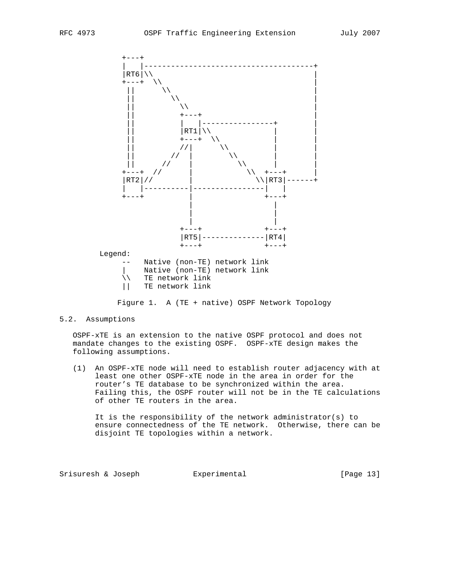

Figure 1. A (TE + native) OSPF Network Topology

# 5.2. Assumptions

 OSPF-xTE is an extension to the native OSPF protocol and does not mandate changes to the existing OSPF. OSPF-xTE design makes the following assumptions.

 (1) An OSPF-xTE node will need to establish router adjacency with at least one other OSPF-xTE node in the area in order for the router's TE database to be synchronized within the area. Failing this, the OSPF router will not be in the TE calculations of other TE routers in the area.

 It is the responsibility of the network administrator(s) to ensure connectedness of the TE network. Otherwise, there can be disjoint TE topologies within a network.

Srisuresh & Joseph **Experimental** [Page 13]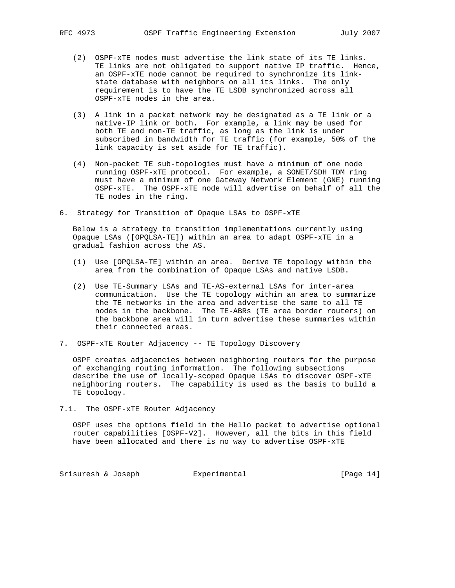- (2) OSPF-xTE nodes must advertise the link state of its TE links. TE links are not obligated to support native IP traffic. Hence, an OSPF-xTE node cannot be required to synchronize its link state database with neighbors on all its links. The only requirement is to have the TE LSDB synchronized across all OSPF-xTE nodes in the area.
- (3) A link in a packet network may be designated as a TE link or a native-IP link or both. For example, a link may be used for both TE and non-TE traffic, as long as the link is under subscribed in bandwidth for TE traffic (for example, 50% of the link capacity is set aside for TE traffic).
- (4) Non-packet TE sub-topologies must have a minimum of one node running OSPF-xTE protocol. For example, a SONET/SDH TDM ring must have a minimum of one Gateway Network Element (GNE) running OSPF-xTE. The OSPF-xTE node will advertise on behalf of all the TE nodes in the ring.
- 6. Strategy for Transition of Opaque LSAs to OSPF-xTE

 Below is a strategy to transition implementations currently using Opaque LSAs ([OPQLSA-TE]) within an area to adapt OSPF-xTE in a gradual fashion across the AS.

- (1) Use [OPQLSA-TE] within an area. Derive TE topology within the area from the combination of Opaque LSAs and native LSDB.
- (2) Use TE-Summary LSAs and TE-AS-external LSAs for inter-area communication. Use the TE topology within an area to summarize the TE networks in the area and advertise the same to all TE nodes in the backbone. The TE-ABRs (TE area border routers) on the backbone area will in turn advertise these summaries within their connected areas.
- 7. OSPF-xTE Router Adjacency -- TE Topology Discovery

 OSPF creates adjacencies between neighboring routers for the purpose of exchanging routing information. The following subsections describe the use of locally-scoped Opaque LSAs to discover OSPF-xTE neighboring routers. The capability is used as the basis to build a TE topology.

7.1. The OSPF-xTE Router Adjacency

 OSPF uses the options field in the Hello packet to advertise optional router capabilities [OSPF-V2]. However, all the bits in this field have been allocated and there is no way to advertise OSPF-xTE

Srisuresh & Joseph Experimental Formular (Page 14)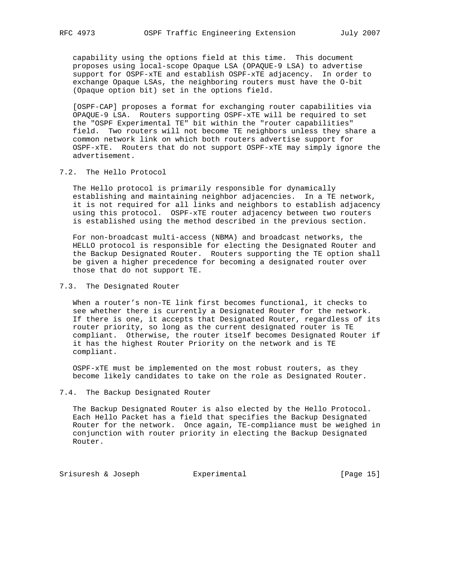capability using the options field at this time. This document proposes using local-scope Opaque LSA (OPAQUE-9 LSA) to advertise support for OSPF-xTE and establish OSPF-xTE adjacency. In order to exchange Opaque LSAs, the neighboring routers must have the O-bit (Opaque option bit) set in the options field.

 [OSPF-CAP] proposes a format for exchanging router capabilities via OPAQUE-9 LSA. Routers supporting OSPF-xTE will be required to set the "OSPF Experimental TE" bit within the "router capabilities" field. Two routers will not become TE neighbors unless they share a common network link on which both routers advertise support for OSPF-xTE. Routers that do not support OSPF-xTE may simply ignore the advertisement.

# 7.2. The Hello Protocol

 The Hello protocol is primarily responsible for dynamically establishing and maintaining neighbor adjacencies. In a TE network, it is not required for all links and neighbors to establish adjacency using this protocol. OSPF-xTE router adjacency between two routers is established using the method described in the previous section.

 For non-broadcast multi-access (NBMA) and broadcast networks, the HELLO protocol is responsible for electing the Designated Router and the Backup Designated Router. Routers supporting the TE option shall be given a higher precedence for becoming a designated router over those that do not support TE.

7.3. The Designated Router

 When a router's non-TE link first becomes functional, it checks to see whether there is currently a Designated Router for the network. If there is one, it accepts that Designated Router, regardless of its router priority, so long as the current designated router is TE compliant. Otherwise, the router itself becomes Designated Router if it has the highest Router Priority on the network and is TE compliant.

 OSPF-xTE must be implemented on the most robust routers, as they become likely candidates to take on the role as Designated Router.

# 7.4. The Backup Designated Router

 The Backup Designated Router is also elected by the Hello Protocol. Each Hello Packet has a field that specifies the Backup Designated Router for the network. Once again, TE-compliance must be weighed in conjunction with router priority in electing the Backup Designated Router.

Srisuresh & Joseph Experimental Formular (Page 15)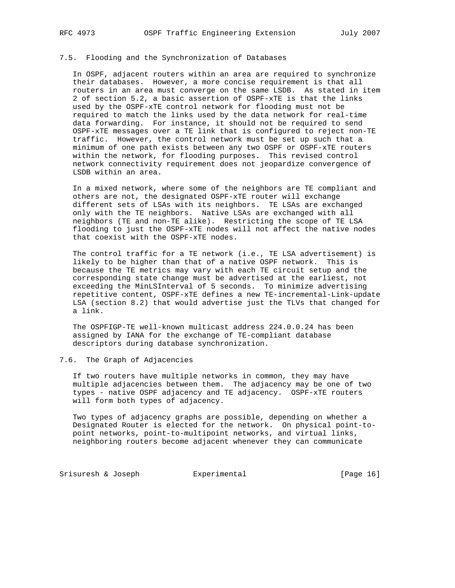# 7.5. Flooding and the Synchronization of Databases

 In OSPF, adjacent routers within an area are required to synchronize their databases. However, a more concise requirement is that all routers in an area must converge on the same LSDB. As stated in item 2 of section 5.2, a basic assertion of OSPF-xTE is that the links used by the OSPF-xTE control network for flooding must not be required to match the links used by the data network for real-time data forwarding. For instance, it should not be required to send OSPF-xTE messages over a TE link that is configured to reject non-TE traffic. However, the control network must be set up such that a minimum of one path exists between any two OSPF or OSPF-xTE routers within the network, for flooding purposes. This revised control network connectivity requirement does not jeopardize convergence of LSDB within an area.

 In a mixed network, where some of the neighbors are TE compliant and others are not, the designated OSPF-xTE router will exchange different sets of LSAs with its neighbors. TE LSAs are exchanged only with the TE neighbors. Native LSAs are exchanged with all neighbors (TE and non-TE alike). Restricting the scope of TE LSA flooding to just the OSPF-xTE nodes will not affect the native nodes that coexist with the OSPF-xTE nodes.

 The control traffic for a TE network (i.e., TE LSA advertisement) is likely to be higher than that of a native OSPF network. This is because the TE metrics may vary with each TE circuit setup and the corresponding state change must be advertised at the earliest, not exceeding the MinLSInterval of 5 seconds. To minimize advertising repetitive content, OSPF-xTE defines a new TE-incremental-Link-update LSA (section 8.2) that would advertise just the TLVs that changed for a link.

 The OSPFIGP-TE well-known multicast address 224.0.0.24 has been assigned by IANA for the exchange of TE-compliant database descriptors during database synchronization.

# 7.6. The Graph of Adjacencies

 If two routers have multiple networks in common, they may have multiple adjacencies between them. The adjacency may be one of two types - native OSPF adjacency and TE adjacency. OSPF-xTE routers will form both types of adjacency.

 Two types of adjacency graphs are possible, depending on whether a Designated Router is elected for the network. On physical point-to point networks, point-to-multipoint networks, and virtual links, neighboring routers become adjacent whenever they can communicate

Srisuresh & Joseph Experimental [Page 16]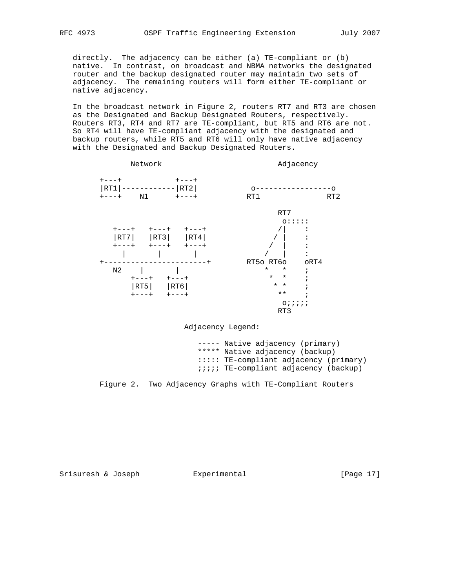directly. The adjacency can be either (a) TE-compliant or (b) native. In contrast, on broadcast and NBMA networks the designated router and the backup designated router may maintain two sets of adjacency. The remaining routers will form either TE-compliant or native adjacency.

 In the broadcast network in Figure 2, routers RT7 and RT3 are chosen as the Designated and Backup Designated Routers, respectively. Routers RT3, RT4 and RT7 are TE-compliant, but RT5 and RT6 are not. So RT4 will have TE-compliant adjacency with the designated and backup routers, while RT5 and RT6 will only have native adjacency with the Designated and Backup Designated Routers.



Adjacency Legend:

 ----- Native adjacency (primary) \*\*\*\*\* Native adjacency (backup) ::::: TE-compliant adjacency (primary) ;;;;; TE-compliant adjacency (backup)

Figure 2. Two Adjacency Graphs with TE-Compliant Routers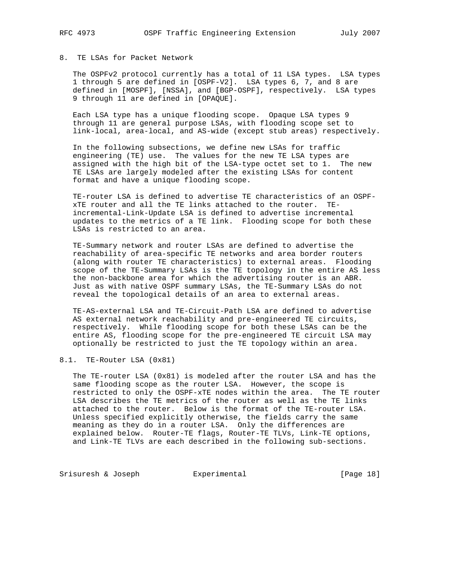# 8. TE LSAs for Packet Network

 The OSPFv2 protocol currently has a total of 11 LSA types. LSA types 1 through 5 are defined in [OSPF-V2]. LSA types 6, 7, and 8 are defined in [MOSPF], [NSSA], and [BGP-OSPF], respectively. LSA types 9 through 11 are defined in [OPAQUE].

 Each LSA type has a unique flooding scope. Opaque LSA types 9 through 11 are general purpose LSAs, with flooding scope set to link-local, area-local, and AS-wide (except stub areas) respectively.

 In the following subsections, we define new LSAs for traffic engineering (TE) use. The values for the new TE LSA types are assigned with the high bit of the LSA-type octet set to 1. The new TE LSAs are largely modeled after the existing LSAs for content format and have a unique flooding scope.

 TE-router LSA is defined to advertise TE characteristics of an OSPF xTE router and all the TE links attached to the router. TE incremental-Link-Update LSA is defined to advertise incremental updates to the metrics of a TE link. Flooding scope for both these LSAs is restricted to an area.

 TE-Summary network and router LSAs are defined to advertise the reachability of area-specific TE networks and area border routers (along with router TE characteristics) to external areas. Flooding scope of the TE-Summary LSAs is the TE topology in the entire AS less the non-backbone area for which the advertising router is an ABR. Just as with native OSPF summary LSAs, the TE-Summary LSAs do not reveal the topological details of an area to external areas.

 TE-AS-external LSA and TE-Circuit-Path LSA are defined to advertise AS external network reachability and pre-engineered TE circuits, respectively. While flooding scope for both these LSAs can be the entire AS, flooding scope for the pre-engineered TE circuit LSA may optionally be restricted to just the TE topology within an area.

#### 8.1. TE-Router LSA (0x81)

 The TE-router LSA (0x81) is modeled after the router LSA and has the same flooding scope as the router LSA. However, the scope is restricted to only the OSPF-xTE nodes within the area. The TE router LSA describes the TE metrics of the router as well as the TE links attached to the router. Below is the format of the TE-router LSA. Unless specified explicitly otherwise, the fields carry the same meaning as they do in a router LSA. Only the differences are explained below. Router-TE flags, Router-TE TLVs, Link-TE options, and Link-TE TLVs are each described in the following sub-sections.

Srisuresh & Joseph Experimental Formula (Page 18)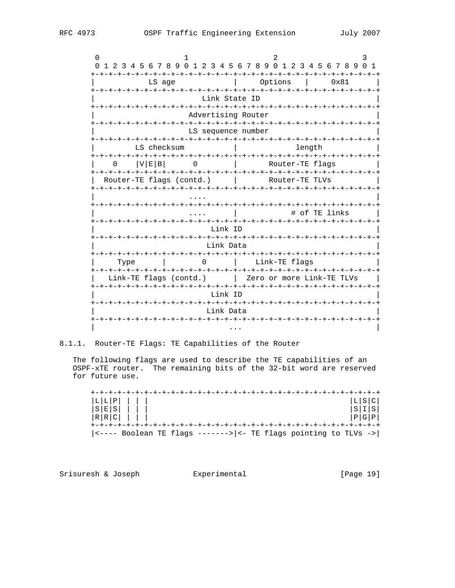| 0                                                                      |                                                                   |  |  |  |  |  |  |  |  |  |  |  |  |
|------------------------------------------------------------------------|-------------------------------------------------------------------|--|--|--|--|--|--|--|--|--|--|--|--|
| 1 2 3 4 5 6 7 8 9 0 1 2 3 4 5 6 7 8 9 0 1 2 3 4 5 6 7 8 9<br>0         | 1                                                                 |  |  |  |  |  |  |  |  |  |  |  |  |
| LS age                                                                 | Options<br>0x81                                                   |  |  |  |  |  |  |  |  |  |  |  |  |
| Link State ID                                                          |                                                                   |  |  |  |  |  |  |  |  |  |  |  |  |
| Advertising Router                                                     |                                                                   |  |  |  |  |  |  |  |  |  |  |  |  |
| -+-+-+-+-+-+-+-+-+-+-+<br>LS sequence number                           |                                                                   |  |  |  |  |  |  |  |  |  |  |  |  |
| LS checksum                                                            | length                                                            |  |  |  |  |  |  |  |  |  |  |  |  |
| V E B <br>0<br>$\left( \right)$                                        | Router-TE flags                                                   |  |  |  |  |  |  |  |  |  |  |  |  |
| Router-TE flags (contd.)                                               | Router-TE TLVs                                                    |  |  |  |  |  |  |  |  |  |  |  |  |
| +-+-+-+-+-+-+-+-+-+-+-+-+-+-+-+-+<br>-+-+-+-+-+-+-+-+-+-+-+-+-+-+-+-+- |                                                                   |  |  |  |  |  |  |  |  |  |  |  |  |
|                                                                        | -+-+-+-+-+-+-+-+-+-+-+-+-+-+-+-+-+-<br># of TE links              |  |  |  |  |  |  |  |  |  |  |  |  |
| Link ID                                                                |                                                                   |  |  |  |  |  |  |  |  |  |  |  |  |
| Link Data                                                              |                                                                   |  |  |  |  |  |  |  |  |  |  |  |  |
| $\Omega$<br>Type                                                       | -+-+-+-+-+-+-+-+-+-+-+-+<br>-+-+-+-+-+-+-+-+-+-+<br>Link-TE flags |  |  |  |  |  |  |  |  |  |  |  |  |
| Link-TE flags (contd.)                                                 | Zero or more Link-TE TLVs                                         |  |  |  |  |  |  |  |  |  |  |  |  |
| -+-+-+-+-+-+-+-+-+-+-+-+-+-+-+-<br>キーナーナーナーナーナーナ<br>Link ID            |                                                                   |  |  |  |  |  |  |  |  |  |  |  |  |
| Link Data                                                              |                                                                   |  |  |  |  |  |  |  |  |  |  |  |  |
|                                                                        | -+-+-+-+-+-+-+-+                                                  |  |  |  |  |  |  |  |  |  |  |  |  |

8.1.1. Router-TE Flags: TE Capabilities of the Router

The following flags are used to describe the TE capabilities of an OSPF-xTE router. The remaining bits of the 32-bit word are reserved for future use.

 $|L|S|C|$  $|S|I|S|$  $|P|G|P|$  $|\left\langle \text{---} \right|$  Boolean TE flags ------->  $|\left\langle \text{-} \right|$  TE flags pointing to TLVs ->

Srisuresh & Joseph Experimental

[Page 19]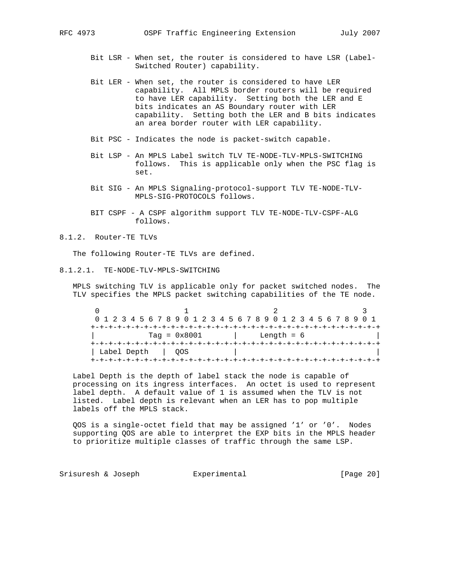- Bit LSR When set, the router is considered to have LSR (Label- Switched Router) capability.
- Bit LER When set, the router is considered to have LER capability. All MPLS border routers will be required to have LER capability. Setting both the LER and E bits indicates an AS Boundary router with LER capability. Setting both the LER and B bits indicates an area border router with LER capability.
- Bit PSC Indicates the node is packet-switch capable.
- Bit LSP An MPLS Label switch TLV TE-NODE-TLV-MPLS-SWITCHING follows. This is applicable only when the PSC flag is set.
- Bit SIG An MPLS Signaling-protocol-support TLV TE-NODE-TLV- MPLS-SIG-PROTOCOLS follows.
- BIT CSPF A CSPF algorithm support TLV TE-NODE-TLV-CSPF-ALG follows.
- 8.1.2. Router-TE TLVs

The following Router-TE TLVs are defined.

8.1.2.1. TE-NODE-TLV-MPLS-SWITCHING

 MPLS switching TLV is applicable only for packet switched nodes. The TLV specifies the MPLS packet switching capabilities of the TE node.

 $0$  1 2 3 0 1 2 3 4 5 6 7 8 9 0 1 2 3 4 5 6 7 8 9 0 1 2 3 4 5 6 7 8 9 0 1 +-+-+-+-+-+-+-+-+-+-+-+-+-+-+-+-+-+-+-+-+-+-+-+-+-+-+-+-+-+-+-+-+ | Tag = 0x8001 | Length = 6 | +-+-+-+-+-+-+-+-+-+-+-+-+-+-+-+-+-+-+-+-+-+-+-+-+-+-+-+-+-+-+-+-+ | Label Depth | QOS +-+-+-+-+-+-+-+-+-+-+-+-+-+-+-+-+-+-+-+-+-+-+-+-+-+-+-+-+-+-+-+-+

 Label Depth is the depth of label stack the node is capable of processing on its ingress interfaces. An octet is used to represent label depth. A default value of 1 is assumed when the TLV is not listed. Label depth is relevant when an LER has to pop multiple labels off the MPLS stack.

 QOS is a single-octet field that may be assigned '1' or '0'. Nodes supporting QOS are able to interpret the EXP bits in the MPLS header to prioritize multiple classes of traffic through the same LSP.

Srisuresh & Joseph Experimental Formular (Page 20)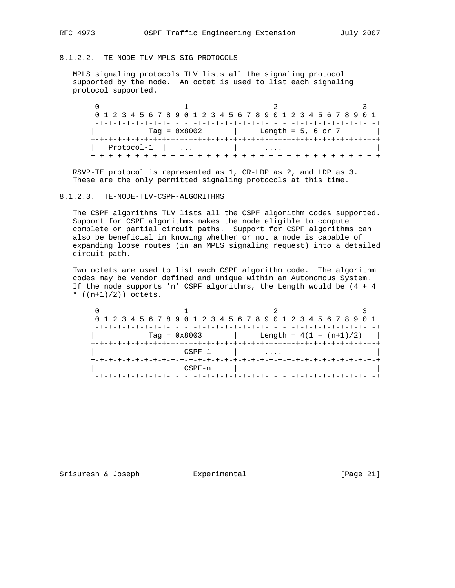# 8.1.2.2. TE-NODE-TLV-MPLS-SIG-PROTOCOLS

 MPLS signaling protocols TLV lists all the signaling protocol supported by the node. An octet is used to list each signaling protocol supported.

 $0$  1 2 3 0 1 2 3 4 5 6 7 8 9 0 1 2 3 4 5 6 7 8 9 0 1 2 3 4 5 6 7 8 9 0 1 +-+-+-+-+-+-+-+-+-+-+-+-+-+-+-+-+-+-+-+-+-+-+-+-+-+-+-+-+-+-+-+-+  $\text{Tag} = 0x8002$  | Length = 5, 6 or 7 +-+-+-+-+-+-+-+-+-+-+-+-+-+-+-+-+-+-+-+-+-+-+-+-+-+-+-+-+-+-+-+-+ | Protocol-1 | ... | .... | +-+-+-+-+-+-+-+-+-+-+-+-+-+-+-+-+-+-+-+-+-+-+-+-+-+-+-+-+-+-+-+-+

 RSVP-TE protocol is represented as 1, CR-LDP as 2, and LDP as 3. These are the only permitted signaling protocols at this time.

# 8.1.2.3. TE-NODE-TLV-CSPF-ALGORITHMS

 The CSPF algorithms TLV lists all the CSPF algorithm codes supported. Support for CSPF algorithms makes the node eligible to compute complete or partial circuit paths. Support for CSPF algorithms can also be beneficial in knowing whether or not a node is capable of expanding loose routes (in an MPLS signaling request) into a detailed circuit path.

 Two octets are used to list each CSPF algorithm code. The algorithm codes may be vendor defined and unique within an Autonomous System. If the node supports 'n' CSPF algorithms, the Length would be (4 + 4 \*  $((n+1)/2)$ ) octets.

 $0$  1 2 3 0 1 2 3 4 5 6 7 8 9 0 1 2 3 4 5 6 7 8 9 0 1 2 3 4 5 6 7 8 9 0 1 +-+-+-+-+-+-+-+-+-+-+-+-+-+-+-+-+-+-+-+-+-+-+-+-+-+-+-+-+-+-+-+-+  $\text{Tag} = 0x8003$  | Length =  $4(1 + (n+1)/2)$  | +-+-+-+-+-+-+-+-+-+-+-+-+-+-+-+-+-+-+-+-+-+-+-+-+-+-+-+-+-+-+-+-+  $CSPF-1$  | .... +-+-+-+-+-+-+-+-+-+-+-+-+-+-+-+-+-+-+-+-+-+-+-+-+-+-+-+-+-+-+-+-+ | CSPF-n | | +-+-+-+-+-+-+-+-+-+-+-+-+-+-+-+-+-+-+-+-+-+-+-+-+-+-+-+-+-+-+-+-+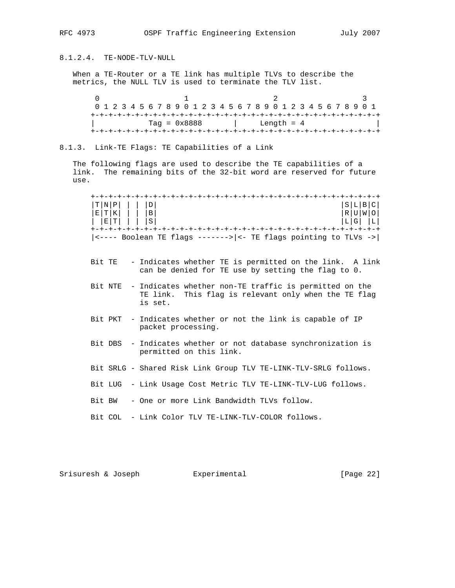8.1.2.4. TE-NODE-TLV-NULL

 When a TE-Router or a TE link has multiple TLVs to describe the metrics, the NULL TLV is used to terminate the TLV list.

 $0$  1 2 3 0 1 2 3 4 5 6 7 8 9 0 1 2 3 4 5 6 7 8 9 0 1 2 3 4 5 6 7 8 9 0 1 +-+-+-+-+-+-+-+-+-+-+-+-+-+-+-+-+-+-+-+-+-+-+-+-+-+-+-+-+-+-+-+-+ | Tag = 0x8888 | Length = 4 | +-+-+-+-+-+-+-+-+-+-+-+-+-+-+-+-+-+-+-+-+-+-+-+-+-+-+-+-+-+-+-+-+

8.1.3. Link-TE Flags: TE Capabilities of a Link

 The following flags are used to describe the TE capabilities of a link. The remaining bits of the 32-bit word are reserved for future use.

 +-+-+-+-+-+-+-+-+-+-+-+-+-+-+-+-+-+-+-+-+-+-+-+-+-+-+-+-+-+-+-+-+  $|\texttt{T}|N|\texttt{P}|$  | | |D|  $|\texttt{S}| \texttt{L}| \texttt{B}| \texttt{C}$  |S|L|B|C| |R|U|W|O| |E|T|K| | | |B| |R|U|W|O| | |E|T| | | |S| |L|G| |L| +-+-+-+-+-+-+-+-+-+-+-+-+-+-+-+-+-+-+-+-+-+-+-+-+-+-+-+-+-+-+-+-+  $|\left\langle \text{---} \right|$  Boolean TE flags -------> $|\left\langle \text{---} \right|$  TE flags pointing to TLVs ->

- Bit TE Indicates whether TE is permitted on the link. A link can be denied for TE use by setting the flag to 0.
- Bit NTE Indicates whether non-TE traffic is permitted on the TE link. This flag is relevant only when the TE flag is set.
- Bit PKT Indicates whether or not the link is capable of IP packet processing.
- Bit DBS Indicates whether or not database synchronization is permitted on this link.
- Bit SRLG Shared Risk Link Group TLV TE-LINK-TLV-SRLG follows.
- Bit LUG Link Usage Cost Metric TLV TE-LINK-TLV-LUG follows.
- Bit BW One or more Link Bandwidth TLVs follow.
- Bit COL Link Color TLV TE-LINK-TLV-COLOR follows.

Srisuresh & Joseph Experimental [Page 22]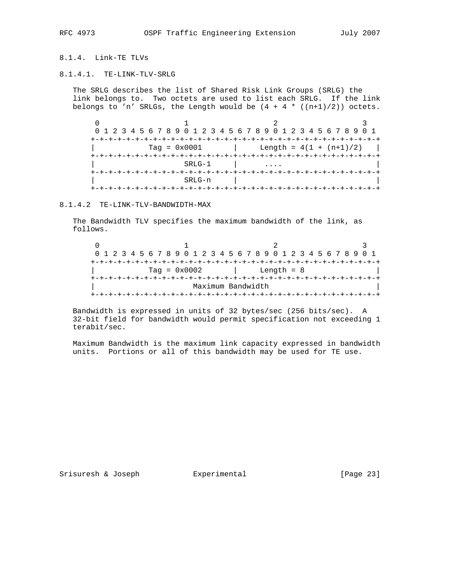# 8.1.4. Link-TE TLVs

### 8.1.4.1. TE-LINK-TLV-SRLG

 The SRLG describes the list of Shared Risk Link Groups (SRLG) the link belongs to. Two octets are used to list each SRLG. If the link belongs to 'n' SRLGs, the Length would be  $(4 + 4 * ((n+1)/2))$  octets.

 $0$  1 2 3 0 1 2 3 4 5 6 7 8 9 0 1 2 3 4 5 6 7 8 9 0 1 2 3 4 5 6 7 8 9 0 1 +-+-+-+-+-+-+-+-+-+-+-+-+-+-+-+-+-+-+-+-+-+-+-+-+-+-+-+-+-+-+-+-+  $Tag = 0x0001$  | Length =  $4(1 + (n+1)/2)$  | +-+-+-+-+-+-+-+-+-+-+-+-+-+-+-+-+-+-+-+-+-+-+-+-+-+-+-+-+-+-+-+-+  $SRLG-1$  | .... +-+-+-+-+-+-+-+-+-+-+-+-+-+-+-+-+-+-+-+-+-+-+-+-+-+-+-+-+-+-+-+-+ | SRLG-n | | +-+-+-+-+-+-+-+-+-+-+-+-+-+-+-+-+-+-+-+-+-+-+-+-+-+-+-+-+-+-+-+-+

# 8.1.4.2 TE-LINK-TLV-BANDWIDTH-MAX

 The Bandwidth TLV specifies the maximum bandwidth of the link, as follows.

| 0 1 2 3 4 5 6 7 8 9 0 1 2 3 4 5 6 7 8 9 0 1 2 3 4 5 6 7 8 9 0 1 |  |  |  |                |  |  |                   |  |  |              |  |  |  |  |  |
|-----------------------------------------------------------------|--|--|--|----------------|--|--|-------------------|--|--|--------------|--|--|--|--|--|
|                                                                 |  |  |  |                |  |  |                   |  |  |              |  |  |  |  |  |
|                                                                 |  |  |  | $Taq = 0x0002$ |  |  |                   |  |  | Length $= 8$ |  |  |  |  |  |
|                                                                 |  |  |  |                |  |  |                   |  |  |              |  |  |  |  |  |
|                                                                 |  |  |  |                |  |  | Maximum Bandwidth |  |  |              |  |  |  |  |  |
|                                                                 |  |  |  |                |  |  |                   |  |  |              |  |  |  |  |  |

 Bandwidth is expressed in units of 32 bytes/sec (256 bits/sec). A 32-bit field for bandwidth would permit specification not exceeding 1 terabit/sec.

 Maximum Bandwidth is the maximum link capacity expressed in bandwidth units. Portions or all of this bandwidth may be used for TE use.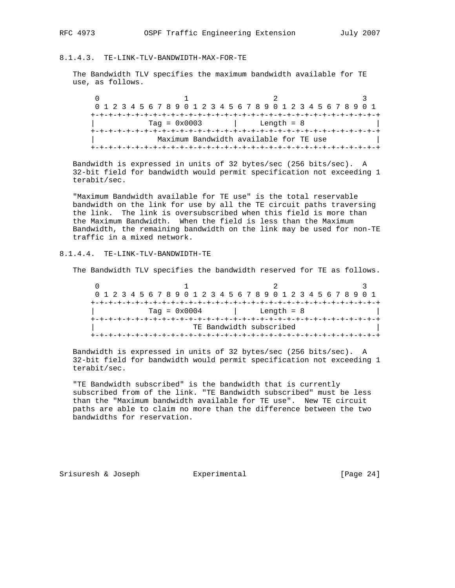# 8.1.4.3. TE-LINK-TLV-BANDWIDTH-MAX-FOR-TE

 The Bandwidth TLV specifies the maximum bandwidth available for TE use, as follows.

 $0$  1 2 3 0 1 2 3 4 5 6 7 8 9 0 1 2 3 4 5 6 7 8 9 0 1 2 3 4 5 6 7 8 9 0 1 +-+-+-+-+-+-+-+-+-+-+-+-+-+-+-+-+-+-+-+-+-+-+-+-+-+-+-+-+-+-+-+-+ | Tag = 0x0003 | Length = 8 | +-+-+-+-+-+-+-+-+-+-+-+-+-+-+-+-+-+-+-+-+-+-+-+-+-+-+-+-+-+-+-+-+ | Maximum Bandwidth available for TE use | +-+-+-+-+-+-+-+-+-+-+-+-+-+-+-+-+-+-+-+-+-+-+-+-+-+-+-+-+-+-+-+-+

 Bandwidth is expressed in units of 32 bytes/sec (256 bits/sec). A 32-bit field for bandwidth would permit specification not exceeding 1 terabit/sec.

 "Maximum Bandwidth available for TE use" is the total reservable bandwidth on the link for use by all the TE circuit paths traversing the link. The link is oversubscribed when this field is more than the Maximum Bandwidth. When the field is less than the Maximum Bandwidth, the remaining bandwidth on the link may be used for non-TE traffic in a mixed network.

# 8.1.4.4. TE-LINK-TLV-BANDWIDTH-TE

The Bandwidth TLV specifies the bandwidth reserved for TE as follows.

 $0$  1 2 3 0 1 2 3 4 5 6 7 8 9 0 1 2 3 4 5 6 7 8 9 0 1 2 3 4 5 6 7 8 9 0 1 +-+-+-+-+-+-+-+-+-+-+-+-+-+-+-+-+-+-+-+-+-+-+-+-+-+-+-+-+-+-+-+-+  $Tag = 0x0004$  | Length = 8 +-+-+-+-+-+-+-+-+-+-+-+-+-+-+-+-+-+-+-+-+-+-+-+-+-+-+-+-+-+-+-+-+ TE Bandwidth subscribed +-+-+-+-+-+-+-+-+-+-+-+-+-+-+-+-+-+-+-+-+-+-+-+-+-+-+-+-+-+-+-+-+

 Bandwidth is expressed in units of 32 bytes/sec (256 bits/sec). A 32-bit field for bandwidth would permit specification not exceeding 1 terabit/sec.

 "TE Bandwidth subscribed" is the bandwidth that is currently subscribed from of the link. "TE Bandwidth subscribed" must be less than the "Maximum bandwidth available for TE use". New TE circuit paths are able to claim no more than the difference between the two bandwidths for reservation.

Srisuresh & Joseph Experimental [Page 24]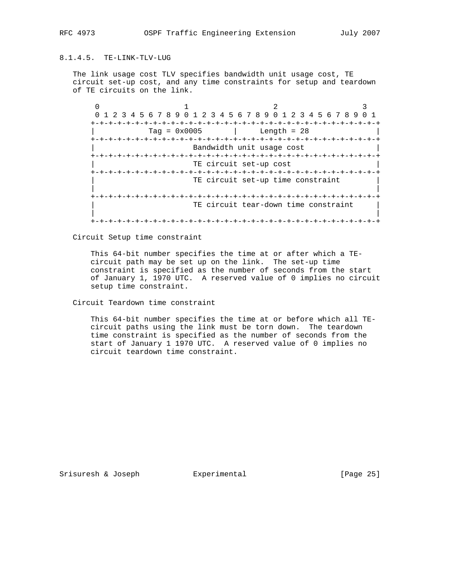# 8.1.4.5. TE-LINK-TLV-LUG

 The link usage cost TLV specifies bandwidth unit usage cost, TE circuit set-up cost, and any time constraints for setup and teardown of TE circuits on the link.

 $0$  1 2 3 0 1 2 3 4 5 6 7 8 9 0 1 2 3 4 5 6 7 8 9 0 1 2 3 4 5 6 7 8 9 0 1 +-+-+-+-+-+-+-+-+-+-+-+-+-+-+-+-+-+-+-+-+-+-+-+-+-+-+-+-+-+-+-+-+  $Tag = 0x0005$  | Length = 28 +-+-+-+-+-+-+-+-+-+-+-+-+-+-+-+-+-+-+-+-+-+-+-+-+-+-+-+-+-+-+-+-+ Bandwidth unit usage cost +-+-+-+-+-+-+-+-+-+-+-+-+-+-+-+-+-+-+-+-+-+-+-+-+-+-+-+-+-+-+-+-+ TE circuit set-up cost +-+-+-+-+-+-+-+-+-+-+-+-+-+-+-+-+-+-+-+-+-+-+-+-+-+-+-+-+-+-+-+-+ TE circuit set-up time constraint | | +-+-+-+-+-+-+-+-+-+-+-+-+-+-+-+-+-+-+-+-+-+-+-+-+-+-+-+-+-+-+-+-+ TE circuit tear-down time constraint | | +-+-+-+-+-+-+-+-+-+-+-+-+-+-+-+-+-+-+-+-+-+-+-+-+-+-+-+-+-+-+-+-+

Circuit Setup time constraint

 This 64-bit number specifies the time at or after which a TE circuit path may be set up on the link. The set-up time constraint is specified as the number of seconds from the start of January 1, 1970 UTC. A reserved value of 0 implies no circuit setup time constraint.

Circuit Teardown time constraint

 This 64-bit number specifies the time at or before which all TE circuit paths using the link must be torn down. The teardown time constraint is specified as the number of seconds from the start of January 1 1970 UTC. A reserved value of 0 implies no circuit teardown time constraint.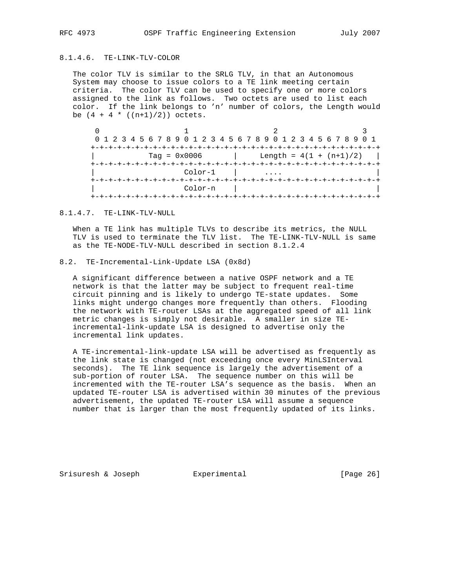# 8.1.4.6. TE-LINK-TLV-COLOR

 The color TLV is similar to the SRLG TLV, in that an Autonomous System may choose to issue colors to a TE link meeting certain criteria. The color TLV can be used to specify one or more colors assigned to the link as follows. Two octets are used to list each color. If the link belongs to 'n' number of colors, the Length would be  $(4 + 4 * ((n+1)/2))$  octets.

| 0 1 2 3 4 5 6 7 8 9 0 1 2 3 4 5 6 7 8 9 0 1 2 3 4 5 6 7 8 9 0 1 |                           |  |
|-----------------------------------------------------------------|---------------------------|--|
|                                                                 |                           |  |
| $Taq = 0x0006$                                                  | Length = $4(1 + (n+1)/2)$ |  |
|                                                                 |                           |  |
| Color-1                                                         |                           |  |
|                                                                 |                           |  |
| $Color-n$                                                       |                           |  |
|                                                                 |                           |  |

#### 8.1.4.7. TE-LINK-TLV-NULL

 When a TE link has multiple TLVs to describe its metrics, the NULL TLV is used to terminate the TLV list. The TE-LINK-TLV-NULL is same as the TE-NODE-TLV-NULL described in section 8.1.2.4

# 8.2. TE-Incremental-Link-Update LSA (0x8d)

 A significant difference between a native OSPF network and a TE network is that the latter may be subject to frequent real-time circuit pinning and is likely to undergo TE-state updates. Some links might undergo changes more frequently than others. Flooding the network with TE-router LSAs at the aggregated speed of all link metric changes is simply not desirable. A smaller in size TE incremental-link-update LSA is designed to advertise only the incremental link updates.

 A TE-incremental-link-update LSA will be advertised as frequently as the link state is changed (not exceeding once every MinLSInterval seconds). The TE link sequence is largely the advertisement of a sub-portion of router LSA. The sequence number on this will be incremented with the TE-router LSA's sequence as the basis. When an updated TE-router LSA is advertised within 30 minutes of the previous advertisement, the updated TE-router LSA will assume a sequence number that is larger than the most frequently updated of its links.

Srisuresh & Joseph Experimental Formular (Page 26)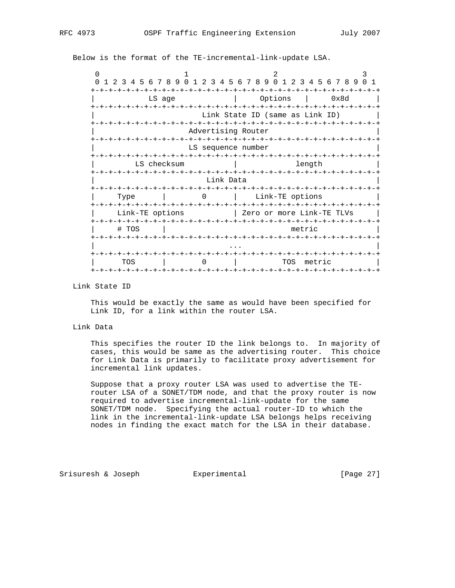Below is the format of the TE-incremental-link-update LSA.

| $\Omega$                                                                                             |             | 0 1 2 3 4 5 6 7 8 9 0 1 2 3 4 5 6 7 8 9 0 1 2 3 4 5 6 7 8 9 | $\Omega$ 1 |  |  |  |  |  |  |  |  |  |  |  |
|------------------------------------------------------------------------------------------------------|-------------|-------------------------------------------------------------|------------|--|--|--|--|--|--|--|--|--|--|--|
| $+ - + - +$                                                                                          | LS age      | Options                                                     | 0x8d       |  |  |  |  |  |  |  |  |  |  |  |
| +-+-+-+-+-+-+-+-+-+-+-+<br>-+-+-+-+-+<br>-+-+-+-+-+-+<br>-+-+-+-+<br>Link State ID (same as Link ID) |             |                                                             |            |  |  |  |  |  |  |  |  |  |  |  |
| Advertising Router                                                                                   |             |                                                             |            |  |  |  |  |  |  |  |  |  |  |  |
| LS sequence number                                                                                   |             |                                                             |            |  |  |  |  |  |  |  |  |  |  |  |
|                                                                                                      | LS checksum | length                                                      |            |  |  |  |  |  |  |  |  |  |  |  |
|                                                                                                      | Link Data   |                                                             |            |  |  |  |  |  |  |  |  |  |  |  |
| Type                                                                                                 | 0           | -+-+-+-+-+-+<br>Link-TE options                             |            |  |  |  |  |  |  |  |  |  |  |  |
| Link-TE options<br>-+-+-+-+-+-+-+-+-+-+                                                              |             | Zero or more Link-TE TLVs                                   |            |  |  |  |  |  |  |  |  |  |  |  |
| # TOS                                                                                                |             | metric                                                      |            |  |  |  |  |  |  |  |  |  |  |  |
|                                                                                                      |             |                                                             |            |  |  |  |  |  |  |  |  |  |  |  |
| TOS                                                                                                  |             | TOS<br>metric                                               |            |  |  |  |  |  |  |  |  |  |  |  |
|                                                                                                      |             |                                                             | -+-+-+-+-+ |  |  |  |  |  |  |  |  |  |  |  |

# Link State ID

 This would be exactly the same as would have been specified for Link ID, for a link within the router LSA.

#### Link Data

 This specifies the router ID the link belongs to. In majority of cases, this would be same as the advertising router. This choice for Link Data is primarily to facilitate proxy advertisement for incremental link updates.

 Suppose that a proxy router LSA was used to advertise the TE router LSA of a SONET/TDM node, and that the proxy router is now required to advertise incremental-link-update for the same SONET/TDM node. Specifying the actual router-ID to which the link in the incremental-link-update LSA belongs helps receiving nodes in finding the exact match for the LSA in their database.

Srisuresh & Joseph Experimental [Page 27]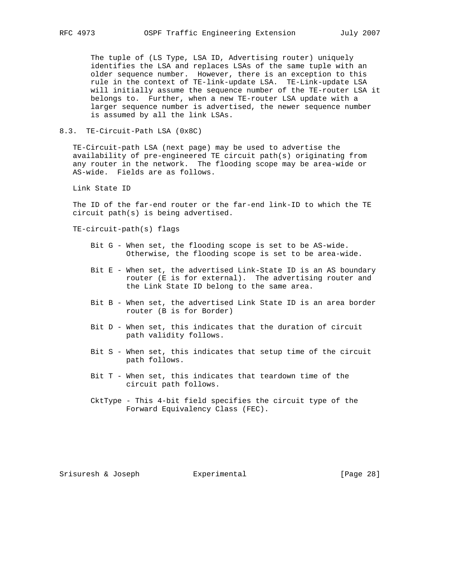The tuple of (LS Type, LSA ID, Advertising router) uniquely identifies the LSA and replaces LSAs of the same tuple with an older sequence number. However, there is an exception to this rule in the context of TE-link-update LSA. TE-Link-update LSA will initially assume the sequence number of the TE-router LSA it belongs to. Further, when a new TE-router LSA update with a larger sequence number is advertised, the newer sequence number is assumed by all the link LSAs.

#### 8.3. TE-Circuit-Path LSA (0x8C)

 TE-Circuit-path LSA (next page) may be used to advertise the availability of pre-engineered TE circuit path(s) originating from any router in the network. The flooding scope may be area-wide or AS-wide. Fields are as follows.

Link State ID

 The ID of the far-end router or the far-end link-ID to which the TE circuit path(s) is being advertised.

TE-circuit-path(s) flags

- Bit G When set, the flooding scope is set to be AS-wide. Otherwise, the flooding scope is set to be area-wide.
- Bit E When set, the advertised Link-State ID is an AS boundary router (E is for external). The advertising router and the Link State ID belong to the same area.
- Bit B When set, the advertised Link State ID is an area border router (B is for Border)
- Bit D When set, this indicates that the duration of circuit path validity follows.
- Bit S When set, this indicates that setup time of the circuit path follows.
- Bit T When set, this indicates that teardown time of the circuit path follows.
- CktType This 4-bit field specifies the circuit type of the Forward Equivalency Class (FEC).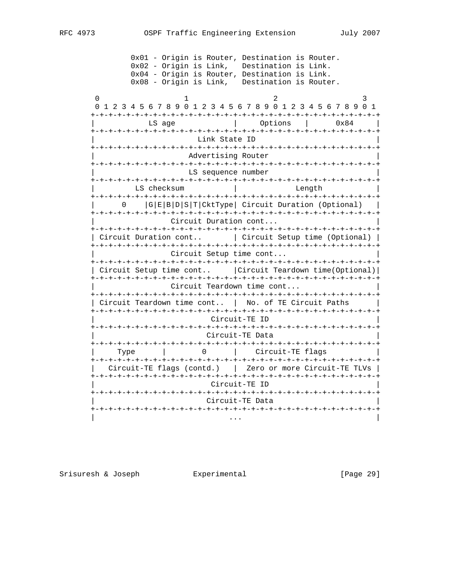0x01 - Origin is Router, Destination is Router. 0x02 - Origin is Link, Destination is Link. 0x04 - Origin is Router, Destination is Link. 0x08 - Origin is Link, Destination is Router.  $0$  1 2 3 0 1 2 3 4 5 6 7 8 9 0 1 2 3 4 5 6 7 8 9 0 1 2 3 4 5 6 7 8 9 0 1 +-+-+-+-+-+-+-+-+-+-+-+-+-+-+-+-+-+-+-+-+-+-+-+-+-+-+-+-+-+-+-+-+ LS age  $\vert$  Options  $\vert$  0x84 +-+-+-+-+-+-+-+-+-+-+-+-+-+-+-+-+-+-+-+-+-+-+-+-+-+-+-+-+-+-+-+-+ Link State ID +-+-+-+-+-+-+-+-+-+-+-+-+-+-+-+-+-+-+-+-+-+-+-+-+-+-+-+-+-+-+-+-+ Advertising Router +-+-+-+-+-+-+-+-+-+-+-+-+-+-+-+-+-+-+-+-+-+-+-+-+-+-+-+-+-+-+-+-+ LS sequence number +-+-+-+-+-+-+-+-+-+-+-+-+-+-+-+-+-+-+-+-+-+-+-+-+-+-+-+-+-+-+-+-+ | LS checksum | Length | +-+-+-+-+-+-+-+-+-+-+-+-+-+-+-+-+-+-+-+-+-+-+-+-+-+-+-+-+-+-+-+-+ | 0 |G|E|B|D|S|T|CktType| Circuit Duration (Optional) | +-+-+-+-+-+-+-+-+-+-+-+-+-+-+-+-+-+-+-+-+-+-+-+-+-+-+-+-+-+-+-+-+ Circuit Duration cont... +-+-+-+-+-+-+-+-+-+-+-+-+-+-+-+-+-+-+-+-+-+-+-+-+-+-+-+-+-+-+-+-+ | Circuit Duration cont.. | Circuit Setup time (Optional) | +-+-+-+-+-+-+-+-+-+-+-+-+-+-+-+-+-+-+-+-+-+-+-+-+-+-+-+-+-+-+-+-+ Circuit Setup time cont... +-+-+-+-+-+-+-+-+-+-+-+-+-+-+-+-+-+-+-+-+-+-+-+-+-+-+-+-+-+-+-+-+ | Circuit Setup time cont.. |Circuit Teardown time(Optional)| +-+-+-+-+-+-+-+-+-+-+-+-+-+-+-+-+-+-+-+-+-+-+-+-+-+-+-+-+-+-+-+-+ Circuit Teardown time cont... +-+-+-+-+-+-+-+-+-+-+-+-+-+-+-+-+-+-+-+-+-+-+-+-+-+-+-+-+-+-+-+-+ | Circuit Teardown time cont.. | No. of TE Circuit Paths | +-+-+-+-+-+-+-+-+-+-+-+-+-+-+-+-+-+-+-+-+-+-+-+-+-+-+-+-+-+-+-+-+ | Circuit-TE ID | +-+-+-+-+-+-+-+-+-+-+-+-+-+-+-+-+-+-+-+-+-+-+-+-+-+-+-+-+-+-+-+-+ | Circuit-TE Data | +-+-+-+-+-+-+-+-+-+-+-+-+-+-+-+-+-+-+-+-+-+-+-+-+-+-+-+-+-+-+-+-+ | Type | 0 | Circuit-TE flags | +-+-+-+-+-+-+-+-+-+-+-+-+-+-+-+-+-+-+-+-+-+-+-+-+-+-+-+-+-+-+-+-+ | Circuit-TE flags (contd.) | Zero or more Circuit-TE TLVs | +-+-+-+-+-+-+-+-+-+-+-+-+-+-+-+-+-+-+-+-+-+-+-+-+-+-+-+-+-+-+-+-+ | Circuit-TE ID | +-+-+-+-+-+-+-+-+-+-+-+-+-+-+-+-+-+-+-+-+-+-+-+-+-+-+-+-+-+-+-+-+ | Circuit-TE Data | +-+-+-+-+-+-+-+-+-+-+-+-+-+-+-+-+-+-+-+-+-+-+-+-+-+-+-+-+-+-+-+-+ | ... | ... | ... | ... | ... | ... | ... | ... | ... | ... | ... | ... | ... | ... | ... | ... | ... | ... |

Srisuresh & Joseph  $\Box$  Experimental  $\Box$  [Page 29]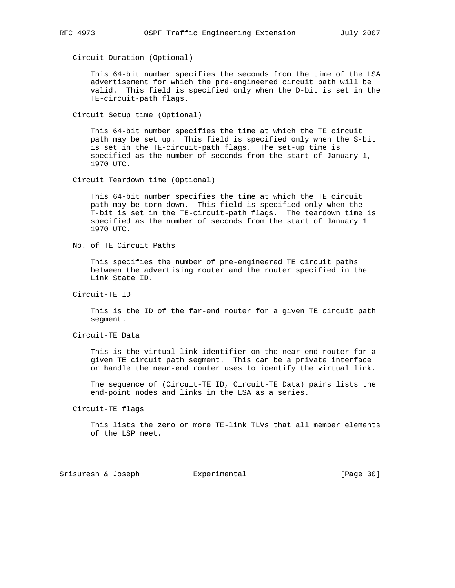Circuit Duration (Optional)

 This 64-bit number specifies the seconds from the time of the LSA advertisement for which the pre-engineered circuit path will be valid. This field is specified only when the D-bit is set in the TE-circuit-path flags.

Circuit Setup time (Optional)

 This 64-bit number specifies the time at which the TE circuit path may be set up. This field is specified only when the S-bit is set in the TE-circuit-path flags. The set-up time is specified as the number of seconds from the start of January 1, 1970 UTC.

Circuit Teardown time (Optional)

 This 64-bit number specifies the time at which the TE circuit path may be torn down. This field is specified only when the T-bit is set in the TE-circuit-path flags. The teardown time is specified as the number of seconds from the start of January 1 1970 UTC.

No. of TE Circuit Paths

 This specifies the number of pre-engineered TE circuit paths between the advertising router and the router specified in the Link State ID.

Circuit-TE ID

 This is the ID of the far-end router for a given TE circuit path segment.

Circuit-TE Data

 This is the virtual link identifier on the near-end router for a given TE circuit path segment. This can be a private interface or handle the near-end router uses to identify the virtual link.

 The sequence of (Circuit-TE ID, Circuit-TE Data) pairs lists the end-point nodes and links in the LSA as a series.

Circuit-TE flags

 This lists the zero or more TE-link TLVs that all member elements of the LSP meet.

Srisuresh & Joseph Experimental [Page 30]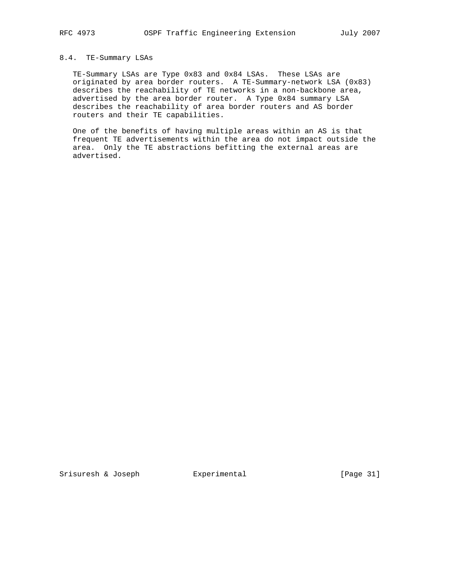# 8.4. TE-Summary LSAs

 TE-Summary LSAs are Type 0x83 and 0x84 LSAs. These LSAs are originated by area border routers. A TE-Summary-network LSA (0x83) describes the reachability of TE networks in a non-backbone area, advertised by the area border router. A Type 0x84 summary LSA describes the reachability of area border routers and AS border routers and their TE capabilities.

 One of the benefits of having multiple areas within an AS is that frequent TE advertisements within the area do not impact outside the area. Only the TE abstractions befitting the external areas are advertised.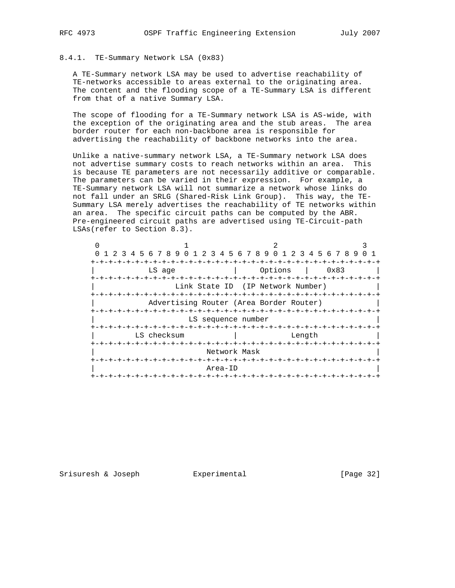# 8.4.1. TE-Summary Network LSA (0x83)

 A TE-Summary network LSA may be used to advertise reachability of TE-networks accessible to areas external to the originating area. The content and the flooding scope of a TE-Summary LSA is different from that of a native Summary LSA.

 The scope of flooding for a TE-Summary network LSA is AS-wide, with the exception of the originating area and the stub areas. The area border router for each non-backbone area is responsible for advertising the reachability of backbone networks into the area.

 Unlike a native-summary network LSA, a TE-Summary network LSA does not advertise summary costs to reach networks within an area. This is because TE parameters are not necessarily additive or comparable. The parameters can be varied in their expression. For example, a TE-Summary network LSA will not summarize a network whose links do not fall under an SRLG (Shared-Risk Link Group). This way, the TE- Summary LSA merely advertises the reachability of TE networks within an area. The specific circuit paths can be computed by the ABR. Pre-engineered circuit paths are advertised using TE-Circuit-path LSAs(refer to Section 8.3).

|                             | 0 1 2 3 4 5 6 7 8 9 0 1 2 3 4 5 6 7 8 9 0 1 2 3 4 5 6 7 8 9 |  |
|-----------------------------|-------------------------------------------------------------|--|
|                             | $- + - + - + -$                                             |  |
| LS age<br>-+-+-+-+-+-+-+-+- | Options<br>0x83<br>-+-+-+-+-+-                              |  |
|                             | Link State ID (IP Network Number)                           |  |
| -+-+-+-+-+-+-+-+-+-+        | -+-+-+-+-+-+-+-+-+                                          |  |
|                             | Advertising Router (Area Border Router)                     |  |
|                             |                                                             |  |
|                             | LS sequence number                                          |  |
|                             |                                                             |  |
| LS checksum                 | Length                                                      |  |
| +-+-+-+-+-+-+-+-+-+-+-+     | -+-+-+-+-+<br>-+-+-+-+-+-+-+-+-+                            |  |
|                             | Network Mask                                                |  |
|                             |                                                             |  |
|                             | Area-ID                                                     |  |
| -+-+-+-+-+-+-+-+-+-+-+      |                                                             |  |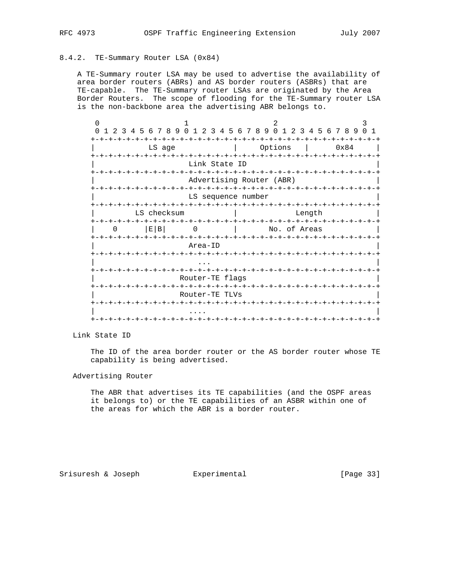# 8.4.2. TE-Summary Router LSA (0x84)

 A TE-Summary router LSA may be used to advertise the availability of area border routers (ABRs) and AS border routers (ASBRs) that are TE-capable. The TE-Summary router LSAs are originated by the Area Border Routers. The scope of flooding for the TE-Summary router LSA is the non-backbone area the advertising ABR belongs to.

| $\Omega$<br>23<br>$\mathbf{1}$                                                      | 4 5 6 7 8 9<br>$\Omega$<br>$1\ 2\ 3$                                             | 789<br>$\Omega$<br>1 2 3 4 5 6 7 8 9<br>456           | $\Omega$<br>$\overline{1}$ |  |  |  |  |  |  |  |  |  |  |  |  |
|-------------------------------------------------------------------------------------|----------------------------------------------------------------------------------|-------------------------------------------------------|----------------------------|--|--|--|--|--|--|--|--|--|--|--|--|
|                                                                                     | LS age                                                                           | Options                                               | 0x84                       |  |  |  |  |  |  |  |  |  |  |  |  |
| - + - + - + - + - + - +<br>-+-+-+-+-+<br>ーナーナーナーナーナ<br>$+ - + - +$<br>Link State ID |                                                                                  |                                                       |                            |  |  |  |  |  |  |  |  |  |  |  |  |
|                                                                                     | -+-+-+-+-+-+<br>-+-+-+-+-+-+-+-+<br>-+-+-+-+-+-+-+-+<br>Advertising Router (ABR) |                                                       |                            |  |  |  |  |  |  |  |  |  |  |  |  |
|                                                                                     | -+-+-+-+-+-+-+-+                                                                 | LS sequence number<br>-+-+-+-+-+-+-+-+-+-+-+-+-+-+-+- |                            |  |  |  |  |  |  |  |  |  |  |  |  |
| ナーナーナーナーナーナーナーナ                                                                     | LS checksum                                                                      | Length<br>-+-+-+-+-+-+-+-+-+-+-+-+                    |                            |  |  |  |  |  |  |  |  |  |  |  |  |
| <sup>0</sup><br>+-+-+-+-+-+-+-+-+-+-+                                               | E B <br>$\left( \right)$                                                         | No. of Areas<br>-+-+-+-+-+-+-+-+-+-+-+-+-+-<br>- +    |                            |  |  |  |  |  |  |  |  |  |  |  |  |
|                                                                                     | Area-ID                                                                          |                                                       |                            |  |  |  |  |  |  |  |  |  |  |  |  |
|                                                                                     |                                                                                  |                                                       |                            |  |  |  |  |  |  |  |  |  |  |  |  |
|                                                                                     | Router-TE flags                                                                  | -+-+-+                                                |                            |  |  |  |  |  |  |  |  |  |  |  |  |
|                                                                                     | -+-+-+-+-+-+-+-+-+-+-+<br>Router-TE TLVs                                         | -+-+-+-+-+-+-+-+-+-+-+-+-+-+-+-                       |                            |  |  |  |  |  |  |  |  |  |  |  |  |
|                                                                                     |                                                                                  | -+-+-+-+-+-+-+-+-+-+-+-+-+-                           |                            |  |  |  |  |  |  |  |  |  |  |  |  |
| $+ - + - +$                                                                         |                                                                                  |                                                       |                            |  |  |  |  |  |  |  |  |  |  |  |  |

Link State ID

 The ID of the area border router or the AS border router whose TE capability is being advertised.

### Advertising Router

 The ABR that advertises its TE capabilities (and the OSPF areas it belongs to) or the TE capabilities of an ASBR within one of the areas for which the ABR is a border router.

Srisuresh & Joseph Experimental Formular (Page 33)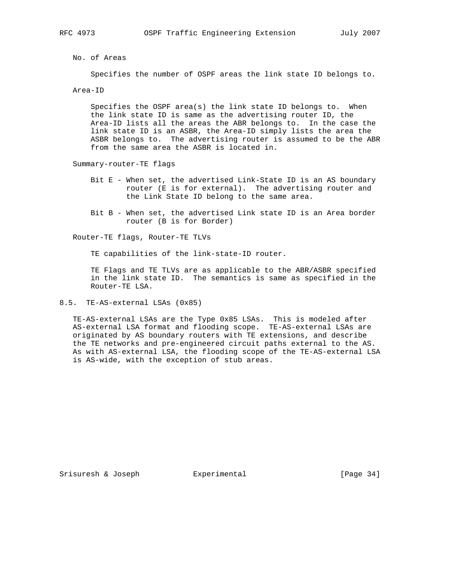No. of Areas

Specifies the number of OSPF areas the link state ID belongs to.

Area-ID

 Specifies the OSPF area(s) the link state ID belongs to. When the link state ID is same as the advertising router ID, the Area-ID lists all the areas the ABR belongs to. In the case the link state ID is an ASBR, the Area-ID simply lists the area the ASBR belongs to. The advertising router is assumed to be the ABR from the same area the ASBR is located in.

Summary-router-TE flags

- Bit E When set, the advertised Link-State ID is an AS boundary router (E is for external). The advertising router and the Link State ID belong to the same area.
- Bit B When set, the advertised Link state ID is an Area border router (B is for Border)

Router-TE flags, Router-TE TLVs

TE capabilities of the link-state-ID router.

 TE Flags and TE TLVs are as applicable to the ABR/ASBR specified in the link state ID. The semantics is same as specified in the Router-TE LSA.

8.5. TE-AS-external LSAs (0x85)

 TE-AS-external LSAs are the Type 0x85 LSAs. This is modeled after AS-external LSA format and flooding scope. TE-AS-external LSAs are originated by AS boundary routers with TE extensions, and describe the TE networks and pre-engineered circuit paths external to the AS. As with AS-external LSA, the flooding scope of the TE-AS-external LSA is AS-wide, with the exception of stub areas.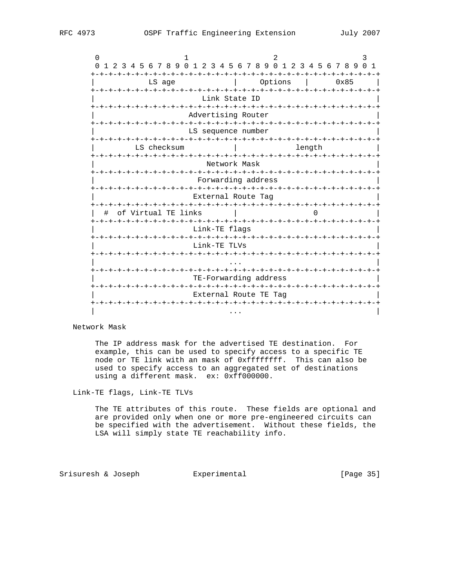| 0                                                                  |                    |                                       |                              |  |        |      |  |  |  |  |  |  |  |  |
|--------------------------------------------------------------------|--------------------|---------------------------------------|------------------------------|--|--------|------|--|--|--|--|--|--|--|--|
| 1 2 3 4 5 6 7 8 9 0 1 2 3 4 5 6 7 8 9 0 1 2 3 4 5 6 7 8 9 0 1<br>0 |                    |                                       |                              |  |        |      |  |  |  |  |  |  |  |  |
| <b>-+-+-+-+-+</b><br>LS age                                        |                    |                                       | <b>-+-+-+-+-+</b><br>Options |  |        | 0x85 |  |  |  |  |  |  |  |  |
|                                                                    |                    |                                       |                              |  |        |      |  |  |  |  |  |  |  |  |
| Link State ID                                                      |                    |                                       |                              |  |        |      |  |  |  |  |  |  |  |  |
|                                                                    |                    |                                       |                              |  |        |      |  |  |  |  |  |  |  |  |
|                                                                    | Advertising Router |                                       |                              |  |        |      |  |  |  |  |  |  |  |  |
|                                                                    |                    |                                       |                              |  |        |      |  |  |  |  |  |  |  |  |
|                                                                    | LS sequence number |                                       |                              |  |        |      |  |  |  |  |  |  |  |  |
| -+-+-+-+-+-+<br>LS checksum                                        |                    |                                       |                              |  |        |      |  |  |  |  |  |  |  |  |
|                                                                    |                    |                                       |                              |  | length |      |  |  |  |  |  |  |  |  |
|                                                                    |                    | Network Mask                          |                              |  |        |      |  |  |  |  |  |  |  |  |
|                                                                    |                    |                                       |                              |  |        |      |  |  |  |  |  |  |  |  |
|                                                                    |                    |                                       |                              |  |        |      |  |  |  |  |  |  |  |  |
| Forwarding address<br>-+-+-+-+-+-+-+-+-+-+-+-+-+-+-+-+-+-+<br>-+   |                    |                                       |                              |  |        |      |  |  |  |  |  |  |  |  |
|                                                                    |                    | External Route Tag                    |                              |  |        |      |  |  |  |  |  |  |  |  |
|                                                                    |                    |                                       |                              |  |        |      |  |  |  |  |  |  |  |  |
| of Virtual TE links<br>#                                           |                    |                                       |                              |  |        |      |  |  |  |  |  |  |  |  |
| -+-+-+-+-+-+-+-+-+-+-+-+-+-+-                                      |                    | -+-+-+-+-+-+-+-+-+-+-+-+-+-+-+-+-+-+- |                              |  |        |      |  |  |  |  |  |  |  |  |
|                                                                    |                    | Link-TE flags                         |                              |  |        |      |  |  |  |  |  |  |  |  |
| +-+-+-+-+-+-+-+-+-+-+-+                                            |                    |                                       |                              |  |        |      |  |  |  |  |  |  |  |  |
|                                                                    | Link-TE TLVs       |                                       |                              |  |        |      |  |  |  |  |  |  |  |  |
|                                                                    |                    |                                       |                              |  |        |      |  |  |  |  |  |  |  |  |
|                                                                    |                    |                                       |                              |  |        |      |  |  |  |  |  |  |  |  |
|                                                                    |                    | TE-Forwarding address                 |                              |  |        |      |  |  |  |  |  |  |  |  |
|                                                                    |                    |                                       |                              |  |        |      |  |  |  |  |  |  |  |  |
|                                                                    |                    | External Route TE Tag                 |                              |  |        |      |  |  |  |  |  |  |  |  |
|                                                                    |                    |                                       |                              |  |        |      |  |  |  |  |  |  |  |  |
|                                                                    |                    | $\cdots$                              |                              |  |        |      |  |  |  |  |  |  |  |  |

Network Mask

 The IP address mask for the advertised TE destination. For example, this can be used to specify access to a specific TE node or TE link with an mask of 0xffffffff. This can also be used to specify access to an aggregated set of destinations using a different mask. ex: 0xff000000.

Link-TE flags, Link-TE TLVs

 The TE attributes of this route. These fields are optional and are provided only when one or more pre-engineered circuits can be specified with the advertisement. Without these fields, the LSA will simply state TE reachability info.

Srisuresh & Joseph **Experimental** [Page 35]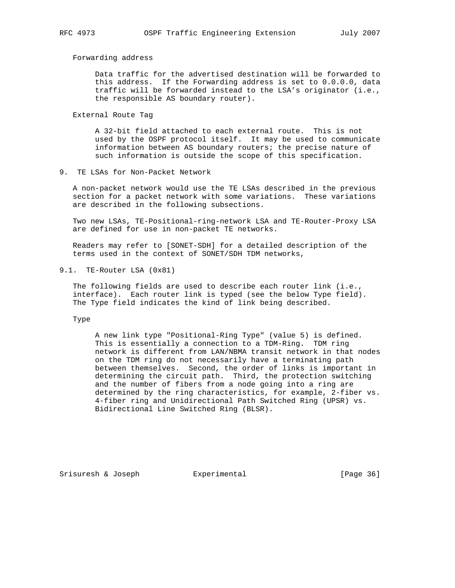Forwarding address

 Data traffic for the advertised destination will be forwarded to this address. If the Forwarding address is set to 0.0.0.0, data traffic will be forwarded instead to the LSA's originator (i.e., the responsible AS boundary router).

External Route Tag

 A 32-bit field attached to each external route. This is not used by the OSPF protocol itself. It may be used to communicate information between AS boundary routers; the precise nature of such information is outside the scope of this specification.

9. TE LSAs for Non-Packet Network

 A non-packet network would use the TE LSAs described in the previous section for a packet network with some variations. These variations are described in the following subsections.

 Two new LSAs, TE-Positional-ring-network LSA and TE-Router-Proxy LSA are defined for use in non-packet TE networks.

 Readers may refer to [SONET-SDH] for a detailed description of the terms used in the context of SONET/SDH TDM networks,

9.1. TE-Router LSA (0x81)

 The following fields are used to describe each router link (i.e., interface). Each router link is typed (see the below Type field). The Type field indicates the kind of link being described.

Type

 A new link type "Positional-Ring Type" (value 5) is defined. This is essentially a connection to a TDM-Ring. TDM ring network is different from LAN/NBMA transit network in that nodes on the TDM ring do not necessarily have a terminating path between themselves. Second, the order of links is important in determining the circuit path. Third, the protection switching and the number of fibers from a node going into a ring are determined by the ring characteristics, for example, 2-fiber vs. 4-fiber ring and Unidirectional Path Switched Ring (UPSR) vs. Bidirectional Line Switched Ring (BLSR).

Srisuresh & Joseph  $\overline{y}$  Experimental [Page 36]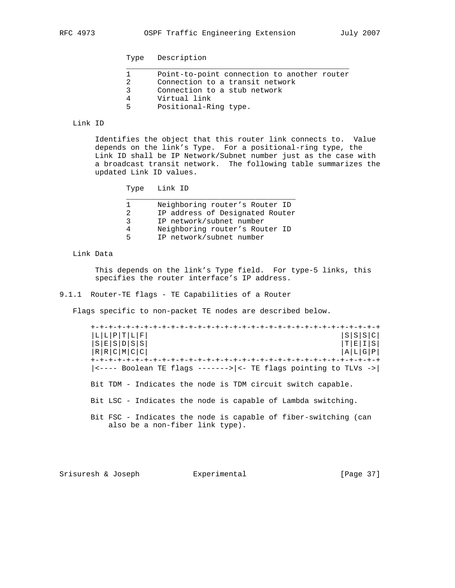Type Description

|    | Point-to-point connection to another router |
|----|---------------------------------------------|
|    | Connection to a transit network             |
| 2  | Connection to a stub network                |
|    | Virtual link                                |
| Б. | Positional-Ring type.                       |

# Link ID

 Identifies the object that this router link connects to. Value depends on the link's Type. For a positional-ring type, the Link ID shall be IP Network/Subnet number just as the case with a broadcast transit network. The following table summarizes the updated Link ID values.

| TD.<br>Link<br>™rne |  |
|---------------------|--|
|---------------------|--|

| Neighboring router's Router ID  |
|---------------------------------|
| IP address of Designated Router |
| IP network/subnet number        |
| Neighboring router's Router ID  |
| IP network/subnet number        |
|                                 |

Link Data

 This depends on the link's Type field. For type-5 links, this specifies the router interface's IP address.

# 9.1.1 Router-TE flags - TE Capabilities of a Router

Flags specific to non-packet TE nodes are described below.

| $\lfloor L/L \rfloor$ $\mathrm{P} \lfloor T/L \rfloor$ $\mathrm{F} \rfloor$                                                  | S S S C                                                       |  |
|------------------------------------------------------------------------------------------------------------------------------|---------------------------------------------------------------|--|
| s ɛ s ɒ s s <br> r r с м с с                                                                                                 | $\begin{array}{c} T & E & I & S \\ A & L & G & P \end{array}$ |  |
|                                                                                                                              |                                                               |  |
|                                                                                                                              |                                                               |  |
| $ \left\langle \text{---} \right $ Boolean TE flags -------> $ \left\langle \text{---} \right $ TE flags pointing to TLVs -> |                                                               |  |
| Bit TDM - Indicates the node is TDM circuit switch capable.                                                                  |                                                               |  |
| Bit LSC - Indicates the node is capable of Lambda switching.                                                                 |                                                               |  |
| Bit FSC - Indicates the node is capable of fiber-switching (can<br>also be a non-fiber link type).                           |                                                               |  |

Srisuresh & Joseph Experimental [Page 37]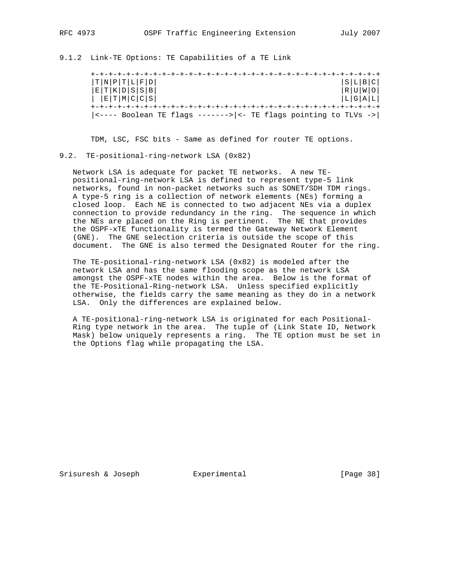9.1.2 Link-TE Options: TE Capabilities of a TE Link

| T N P T L F D                                                               | S L B C               |
|-----------------------------------------------------------------------------|-----------------------|
| E[T K D S S B                                                               | R U W O               |
| E[T M C C S                                                                 | $\lfloor L  G  A  L $ |
|                                                                             |                       |
| $ $ <---- Boolean TE flags -------> $ $ <- TE flags pointing to TLVs -> $ $ |                       |

TDM, LSC, FSC bits - Same as defined for router TE options.

#### 9.2. TE-positional-ring-network LSA (0x82)

 Network LSA is adequate for packet TE networks. A new TE positional-ring-network LSA is defined to represent type-5 link networks, found in non-packet networks such as SONET/SDH TDM rings. A type-5 ring is a collection of network elements (NEs) forming a closed loop. Each NE is connected to two adjacent NEs via a duplex connection to provide redundancy in the ring. The sequence in which the NEs are placed on the Ring is pertinent. The NE that provides the OSPF-xTE functionality is termed the Gateway Network Element (GNE). The GNE selection criteria is outside the scope of this document. The GNE is also termed the Designated Router for the ring.

 The TE-positional-ring-network LSA (0x82) is modeled after the network LSA and has the same flooding scope as the network LSA amongst the OSPF-xTE nodes within the area. Below is the format of the TE-Positional-Ring-network LSA. Unless specified explicitly otherwise, the fields carry the same meaning as they do in a network LSA. Only the differences are explained below.

 A TE-positional-ring-network LSA is originated for each Positional- Ring type network in the area. The tuple of (Link State ID, Network Mask) below uniquely represents a ring. The TE option must be set in the Options flag while propagating the LSA.

Srisuresh & Joseph  $\text{Experimental}$  [Page 38]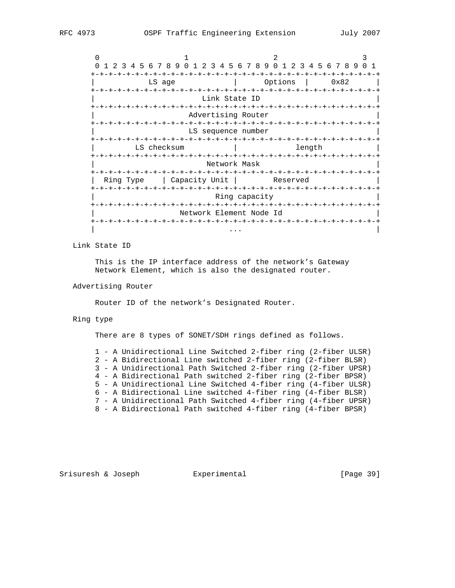|           | 1 2 3 4 5 6 7 8 9 0 1 2 3 4 5 6 7 8 9 0 1 2 3 4 5 6 7 8 9 0 1 |                         |                                  |                                 |          |        |  |      |  |  |
|-----------|---------------------------------------------------------------|-------------------------|----------------------------------|---------------------------------|----------|--------|--|------|--|--|
|           |                                                               |                         |                                  |                                 |          |        |  |      |  |  |
|           | LS age                                                        |                         |                                  |                                 | Options  |        |  | 0x82 |  |  |
|           | -+-+-+-+-+-+-                                                 |                         | -+-+-+-+-+-+-+-+-+-+-+-+-+-+-+-+ |                                 |          |        |  |      |  |  |
|           |                                                               |                         | Link State ID                    |                                 |          |        |  |      |  |  |
|           |                                                               |                         |                                  |                                 |          |        |  |      |  |  |
|           |                                                               | Advertising Router      |                                  |                                 |          |        |  |      |  |  |
|           |                                                               |                         |                                  |                                 |          |        |  |      |  |  |
|           |                                                               | LS sequence number      |                                  |                                 |          |        |  |      |  |  |
|           |                                                               |                         |                                  |                                 |          |        |  |      |  |  |
|           | LS checksum                                                   |                         |                                  |                                 |          | length |  |      |  |  |
|           | -+-+-+-+-+-+-+-+-+-+                                          |                         |                                  |                                 |          |        |  |      |  |  |
|           |                                                               |                         | Network Mask                     |                                 |          |        |  |      |  |  |
|           |                                                               |                         |                                  |                                 |          |        |  |      |  |  |
| Ring Type |                                                               | Capacity Unit           |                                  |                                 | Reserved |        |  |      |  |  |
|           |                                                               |                         |                                  |                                 |          |        |  |      |  |  |
|           |                                                               |                         | Ring capacity                    |                                 |          |        |  |      |  |  |
|           |                                                               |                         |                                  |                                 |          |        |  |      |  |  |
|           |                                                               | Network Element Node Id |                                  |                                 |          |        |  |      |  |  |
|           | -+-+-+-+-+-+-+-+-+-+-+-+                                      |                         |                                  | -+-+-+-+-+-+-+-+-+-+-+-+-+-+-+- |          |        |  |      |  |  |
|           |                                                               |                         |                                  |                                 |          |        |  |      |  |  |

Link State ID

 This is the IP interface address of the network's Gateway Network Element, which is also the designated router.

#### Advertising Router

Router ID of the network's Designated Router.

### Ring type

There are 8 types of SONET/SDH rings defined as follows.

 1 - A Unidirectional Line Switched 2-fiber ring (2-fiber ULSR) 2 - A Bidirectional Line switched 2-fiber ring (2-fiber BLSR) 3 - A Unidirectional Path Switched 2-fiber ring (2-fiber UPSR) 4 - A Bidirectional Path switched 2-fiber ring (2-fiber BPSR) 5 - A Unidirectional Line Switched 4-fiber ring (4-fiber ULSR) 6 - A Bidirectional Line switched 4-fiber ring (4-fiber BLSR) 7 - A Unidirectional Path Switched 4-fiber ring (4-fiber UPSR) 8 - A Bidirectional Path switched 4-fiber ring (4-fiber BPSR)

Srisuresh & Joseph Experimental [Page 39]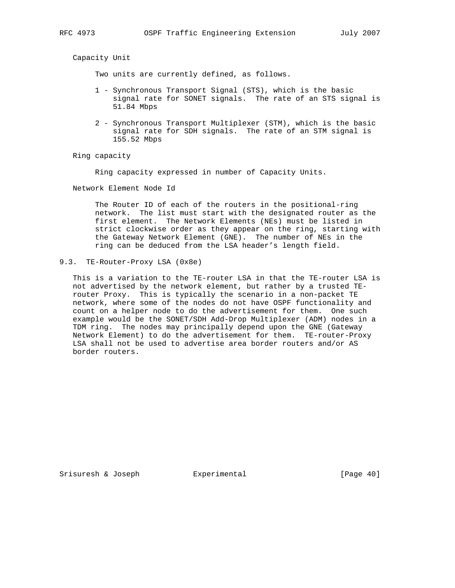Capacity Unit

Two units are currently defined, as follows.

- 1 Synchronous Transport Signal (STS), which is the basic signal rate for SONET signals. The rate of an STS signal is 51.84 Mbps
- 2 Synchronous Transport Multiplexer (STM), which is the basic signal rate for SDH signals. The rate of an STM signal is 155.52 Mbps

Ring capacity

Ring capacity expressed in number of Capacity Units.

Network Element Node Id

 The Router ID of each of the routers in the positional-ring network. The list must start with the designated router as the first element. The Network Elements (NEs) must be listed in strict clockwise order as they appear on the ring, starting with the Gateway Network Element (GNE). The number of NEs in the ring can be deduced from the LSA header's length field.

9.3. TE-Router-Proxy LSA (0x8e)

 This is a variation to the TE-router LSA in that the TE-router LSA is not advertised by the network element, but rather by a trusted TE router Proxy. This is typically the scenario in a non-packet TE network, where some of the nodes do not have OSPF functionality and count on a helper node to do the advertisement for them. One such example would be the SONET/SDH Add-Drop Multiplexer (ADM) nodes in a TDM ring. The nodes may principally depend upon the GNE (Gateway Network Element) to do the advertisement for them. TE-router-Proxy LSA shall not be used to advertise area border routers and/or AS border routers.

Srisuresh & Joseph  $\overline{y}$  Experimental [Page 40]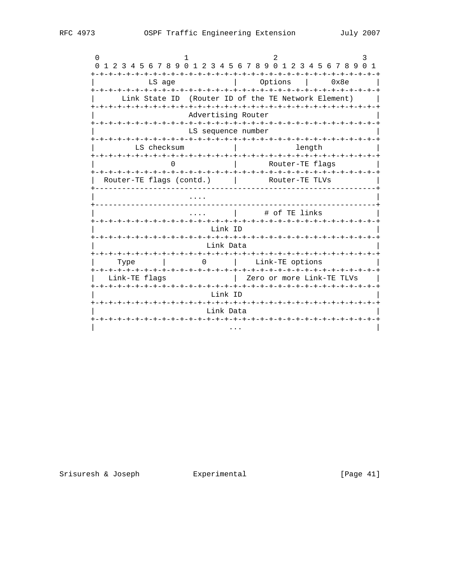| $\left( \right)$                    |                          |                    | 1 2 3 4 5 6 7 8 9 0 1 2 3 4 5 6 7 8 9 0 1 2 3 4 5 6 7 8 9 0 1 |  |  |  |  |
|-------------------------------------|--------------------------|--------------------|---------------------------------------------------------------|--|--|--|--|
|                                     | LS age                   |                    | Options<br>0x8e                                               |  |  |  |  |
|                                     | Link State ID            |                    | (Router ID of the TE Network Element)                         |  |  |  |  |
|                                     |                          | Advertising Router |                                                               |  |  |  |  |
|                                     |                          | LS sequence number |                                                               |  |  |  |  |
|                                     | LS checksum              |                    | length                                                        |  |  |  |  |
|                                     |                          |                    | Router-TE flags                                               |  |  |  |  |
|                                     | Router-TE flags (contd.) |                    | Router-TE TLVs                                                |  |  |  |  |
|                                     |                          |                    |                                                               |  |  |  |  |
|                                     | # of TE links            |                    |                                                               |  |  |  |  |
|                                     |                          | Link ID            |                                                               |  |  |  |  |
|                                     |                          | Link Data          |                                                               |  |  |  |  |
| Type                                |                          | $\Omega$           | Link-TE options                                               |  |  |  |  |
| Link-TE flags                       |                          |                    | Zero or more Link-TE TLVs                                     |  |  |  |  |
| Link ID                             |                          |                    |                                                               |  |  |  |  |
| Link Data<br>-+-+-+-+-+-+-+-+-+-+-+ |                          |                    |                                                               |  |  |  |  |
|                                     |                          |                    |                                                               |  |  |  |  |

[Page 41]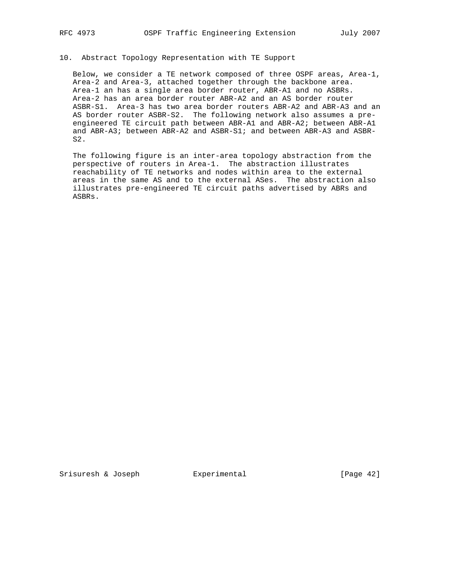# 10. Abstract Topology Representation with TE Support

 Below, we consider a TE network composed of three OSPF areas, Area-1, Area-2 and Area-3, attached together through the backbone area. Area-1 an has a single area border router, ABR-A1 and no ASBRs. Area-2 has an area border router ABR-A2 and an AS border router ASBR-S1. Area-3 has two area border routers ABR-A2 and ABR-A3 and an AS border router ASBR-S2. The following network also assumes a pre engineered TE circuit path between ABR-A1 and ABR-A2; between ABR-A1 and ABR-A3; between ABR-A2 and ASBR-S1; and between ABR-A3 and ASBR- S2.

 The following figure is an inter-area topology abstraction from the perspective of routers in Area-1. The abstraction illustrates reachability of TE networks and nodes within area to the external areas in the same AS and to the external ASes. The abstraction also illustrates pre-engineered TE circuit paths advertised by ABRs and ASBRs.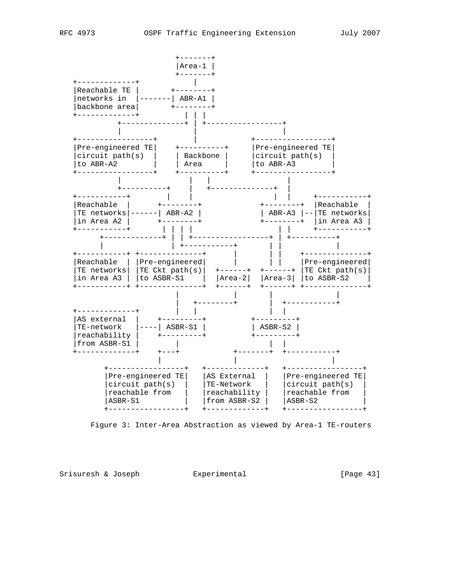

Figure 3: Inter-Area Abstraction as viewed by Area-1 TE-routers

Srisuresh & Joseph Experimental Formular (Page 43)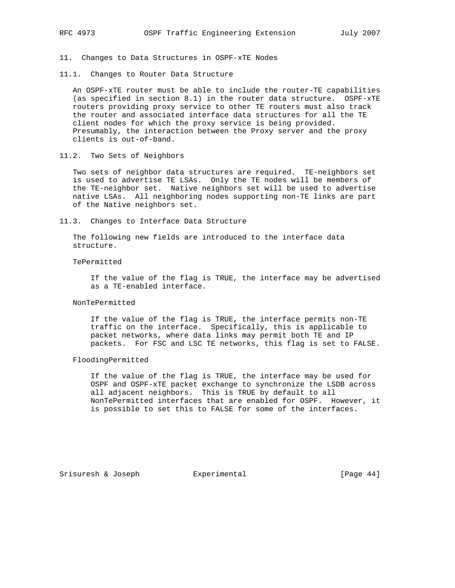11. Changes to Data Structures in OSPF-xTE Nodes

11.1. Changes to Router Data Structure

 An OSPF-xTE router must be able to include the router-TE capabilities (as specified in section 8.1) in the router data structure. OSPF-xTE routers providing proxy service to other TE routers must also track the router and associated interface data structures for all the TE client nodes for which the proxy service is being provided. Presumably, the interaction between the Proxy server and the proxy clients is out-of-band.

11.2. Two Sets of Neighbors

 Two sets of neighbor data structures are required. TE-neighbors set is used to advertise TE LSAs. Only the TE nodes will be members of the TE-neighbor set. Native neighbors set will be used to advertise native LSAs. All neighboring nodes supporting non-TE links are part of the Native neighbors set.

11.3. Changes to Interface Data Structure

 The following new fields are introduced to the interface data structure.

TePermitted

 If the value of the flag is TRUE, the interface may be advertised as a TE-enabled interface.

#### NonTePermitted

 If the value of the flag is TRUE, the interface permits non-TE traffic on the interface. Specifically, this is applicable to packet networks, where data links may permit both TE and IP packets. For FSC and LSC TE networks, this flag is set to FALSE.

FloodingPermitted

 If the value of the flag is TRUE, the interface may be used for OSPF and OSPF-xTE packet exchange to synchronize the LSDB across all adjacent neighbors. This is TRUE by default to all NonTePermitted interfaces that are enabled for OSPF. However, it is possible to set this to FALSE for some of the interfaces.

Srisuresh & Joseph Experimental [Page 44]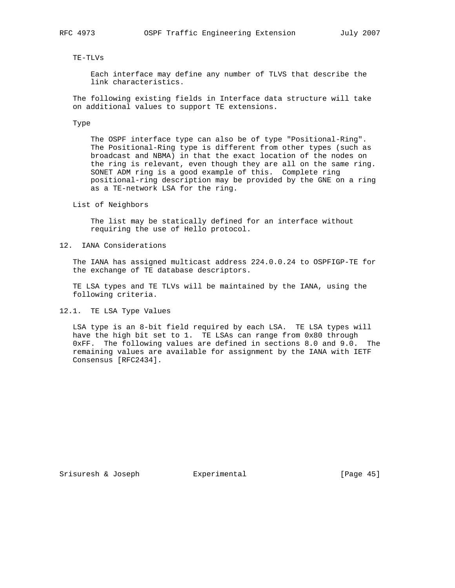#### TE-TLVs

 Each interface may define any number of TLVS that describe the link characteristics.

 The following existing fields in Interface data structure will take on additional values to support TE extensions.

#### Type

 The OSPF interface type can also be of type "Positional-Ring". The Positional-Ring type is different from other types (such as broadcast and NBMA) in that the exact location of the nodes on the ring is relevant, even though they are all on the same ring. SONET ADM ring is a good example of this. Complete ring positional-ring description may be provided by the GNE on a ring as a TE-network LSA for the ring.

### List of Neighbors

 The list may be statically defined for an interface without requiring the use of Hello protocol.

### 12. IANA Considerations

 The IANA has assigned multicast address 224.0.0.24 to OSPFIGP-TE for the exchange of TE database descriptors.

 TE LSA types and TE TLVs will be maintained by the IANA, using the following criteria.

12.1. TE LSA Type Values

 LSA type is an 8-bit field required by each LSA. TE LSA types will have the high bit set to 1. TE LSAs can range from 0x80 through 0xFF. The following values are defined in sections 8.0 and 9.0. The remaining values are available for assignment by the IANA with IETF Consensus [RFC2434].

Srisuresh & Joseph **Experimental** [Page 45]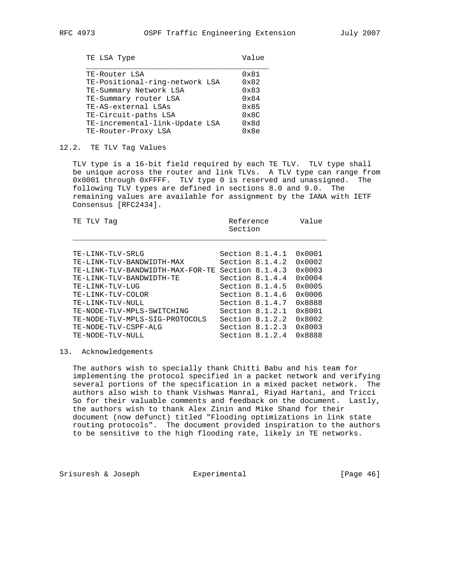| TE LSA Type | Value |
|-------------|-------|
|-------------|-------|

| TE-Router LSA                  | 0x81          |
|--------------------------------|---------------|
| TE-Positional-ring-network LSA | 0x82          |
| TE-Summary Network LSA         | 0x83          |
| TE-Summary router LSA          | $0 \times 84$ |
| TE-AS-external LSAs            | 0x85          |
| TE-Circuit-paths LSA           | $0 \times 8C$ |
| TE-incremental-link-Update LSA | 0x8d          |
| TE-Router-Proxy LSA            | 0x8e          |
|                                |               |

#### 12.2. TE TLV Tag Values

 TLV type is a 16-bit field required by each TE TLV. TLV type shall be unique across the router and link TLVs. A TLV type can range from 0x0001 through 0xFFFF. TLV type 0 is reserved and unassigned. The following TLV types are defined in sections 8.0 and 9.0. The remaining values are available for assignment by the IANA with IETF Consensus [RFC2434].

| TE TLV<br>Taq                    | Reference<br>Section | Value |                 |  |
|----------------------------------|----------------------|-------|-----------------|--|
| TE-LINK-TLV-SRLG                 | Section $8.1.4.1$    |       | $0 \times 0001$ |  |
| TE-LINK-TLV-BANDWIDTH-MAX        | Section $8.1.4.2$    |       | $0 \times 0002$ |  |
| TE-LINK-TLV-BANDWIDTH-MAX-FOR-TE | Section $8.1.4.3$    |       | $0 \times 0003$ |  |
| TE-LINK-TLV-BANDWIDTH-TE         | Section 8.1.4.4      |       | $0 \times 0004$ |  |
| TE-LINK-TLV-LUG                  | Section $8.1.4.5$    |       | $0 \times 0005$ |  |
| TE-LINK-TLV-COLOR                | Section $8.1.4.6$    |       | $0 \times 0006$ |  |
| TE-LINK-TLV-NULL                 | Section 8.1.4.7      |       | 0x8888          |  |
| TE-NODE-TLV-MPLS-SWITCHING       | Section $8.1.2.1$    |       | 0x8001          |  |
| TE-NODE-TLV-MPLS-SIG-PROTOCOLS   | Section $8.1.2.2$    |       | $0 \times 8002$ |  |
| TE-NODE-TLV-CSPF-ALG             | Section $8.1.2.3$    |       | $0 \times 8003$ |  |
| TE-NODE-TLV-NULL                 | Section $8.1.2.4$    |       | 0x8888          |  |

# 13. Acknowledgements

 The authors wish to specially thank Chitti Babu and his team for implementing the protocol specified in a packet network and verifying several portions of the specification in a mixed packet network. The authors also wish to thank Vishwas Manral, Riyad Hartani, and Tricci So for their valuable comments and feedback on the document. Lastly, the authors wish to thank Alex Zinin and Mike Shand for their document (now defunct) titled "Flooding optimizations in link state routing protocols". The document provided inspiration to the authors to be sensitive to the high flooding rate, likely in TE networks.

Srisuresh & Joseph Experimental [Page 46]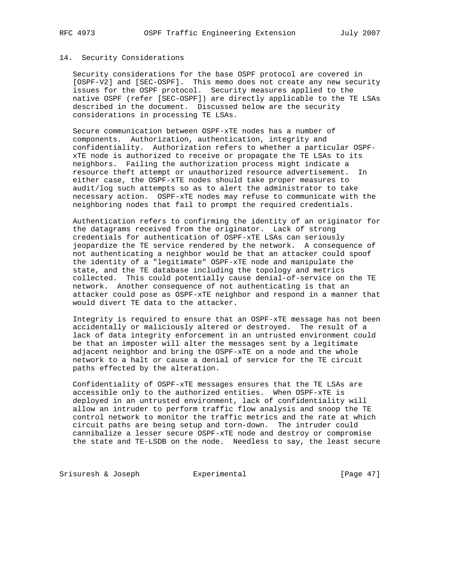# 14. Security Considerations

 Security considerations for the base OSPF protocol are covered in [OSPF-V2] and [SEC-OSPF]. This memo does not create any new security issues for the OSPF protocol. Security measures applied to the native OSPF (refer [SEC-OSPF]) are directly applicable to the TE LSAs described in the document. Discussed below are the security considerations in processing TE LSAs.

 Secure communication between OSPF-xTE nodes has a number of components. Authorization, authentication, integrity and confidentiality. Authorization refers to whether a particular OSPF xTE node is authorized to receive or propagate the TE LSAs to its neighbors. Failing the authorization process might indicate a resource theft attempt or unauthorized resource advertisement. In either case, the OSPF-xTE nodes should take proper measures to audit/log such attempts so as to alert the administrator to take necessary action. OSPF-xTE nodes may refuse to communicate with the neighboring nodes that fail to prompt the required credentials.

 Authentication refers to confirming the identity of an originator for the datagrams received from the originator. Lack of strong credentials for authentication of OSPF-xTE LSAs can seriously jeopardize the TE service rendered by the network. A consequence of not authenticating a neighbor would be that an attacker could spoof the identity of a "legitimate" OSPF-xTE node and manipulate the state, and the TE database including the topology and metrics collected. This could potentially cause denial-of-service on the TE network. Another consequence of not authenticating is that an attacker could pose as OSPF-xTE neighbor and respond in a manner that would divert TE data to the attacker.

 Integrity is required to ensure that an OSPF-xTE message has not been accidentally or maliciously altered or destroyed. The result of a lack of data integrity enforcement in an untrusted environment could be that an imposter will alter the messages sent by a legitimate adjacent neighbor and bring the OSPF-xTE on a node and the whole network to a halt or cause a denial of service for the TE circuit paths effected by the alteration.

 Confidentiality of OSPF-xTE messages ensures that the TE LSAs are accessible only to the authorized entities. When OSPF-xTE is deployed in an untrusted environment, lack of confidentiality will allow an intruder to perform traffic flow analysis and snoop the TE control network to monitor the traffic metrics and the rate at which circuit paths are being setup and torn-down. The intruder could cannibalize a lesser secure OSPF-xTE node and destroy or compromise the state and TE-LSDB on the node. Needless to say, the least secure

Srisuresh & Joseph Experimental Formula (Page 47)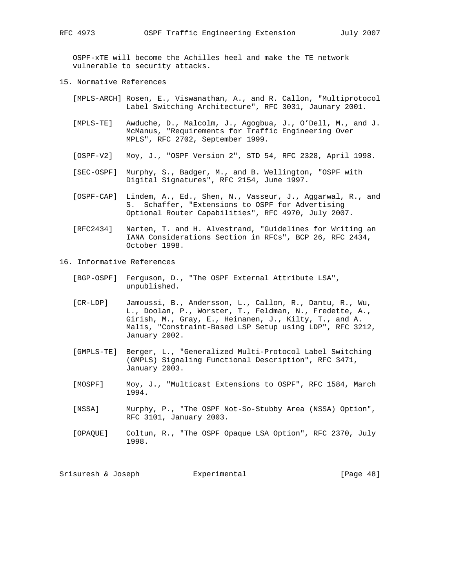OSPF-xTE will become the Achilles heel and make the TE network vulnerable to security attacks.

- 15. Normative References
	- [MPLS-ARCH] Rosen, E., Viswanathan, A., and R. Callon, "Multiprotocol Label Switching Architecture", RFC 3031, Jaunary 2001.
	- [MPLS-TE] Awduche, D., Malcolm, J., Agogbua, J., O'Dell, M., and J. McManus, "Requirements for Traffic Engineering Over MPLS", RFC 2702, September 1999.
	- [OSPF-V2] Moy, J., "OSPF Version 2", STD 54, RFC 2328, April 1998.
	- [SEC-OSPF] Murphy, S., Badger, M., and B. Wellington, "OSPF with Digital Signatures", RFC 2154, June 1997.
	- [OSPF-CAP] Lindem, A., Ed., Shen, N., Vasseur, J., Aggarwal, R., and S. Schaffer, "Extensions to OSPF for Advertising Optional Router Capabilities", RFC 4970, July 2007.
	- [RFC2434] Narten, T. and H. Alvestrand, "Guidelines for Writing an IANA Considerations Section in RFCs", BCP 26, RFC 2434, October 1998.
- 16. Informative References
	- [BGP-OSPF] Ferguson, D., "The OSPF External Attribute LSA", unpublished.
	- [CR-LDP] Jamoussi, B., Andersson, L., Callon, R., Dantu, R., Wu, L., Doolan, P., Worster, T., Feldman, N., Fredette, A., Girish, M., Gray, E., Heinanen, J., Kilty, T., and A. Malis, "Constraint-Based LSP Setup using LDP", RFC 3212, January 2002.
	- [GMPLS-TE] Berger, L., "Generalized Multi-Protocol Label Switching (GMPLS) Signaling Functional Description", RFC 3471, January 2003.
	- [MOSPF] Moy, J., "Multicast Extensions to OSPF", RFC 1584, March 1994.
	- [NSSA] Murphy, P., "The OSPF Not-So-Stubby Area (NSSA) Option", RFC 3101, January 2003.
	- [OPAQUE] Coltun, R., "The OSPF Opaque LSA Option", RFC 2370, July 1998.

Srisuresh & Joseph Experimental [Page 48]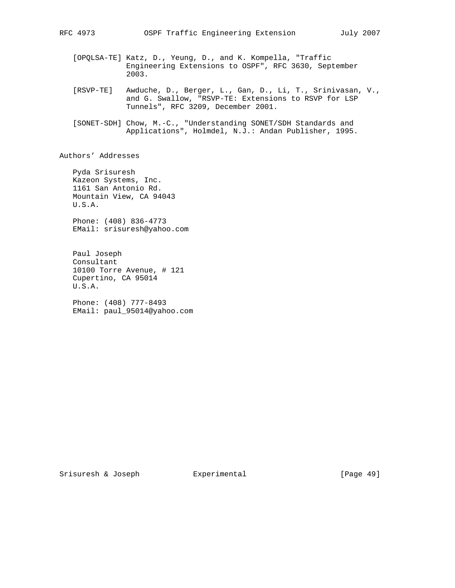- [OPQLSA-TE] Katz, D., Yeung, D., and K. Kompella, "Traffic Engineering Extensions to OSPF", RFC 3630, September 2003.
- [RSVP-TE] Awduche, D., Berger, L., Gan, D., Li, T., Srinivasan, V., and G. Swallow, "RSVP-TE: Extensions to RSVP for LSP Tunnels", RFC 3209, December 2001.
- [SONET-SDH] Chow, M.-C., "Understanding SONET/SDH Standards and Applications", Holmdel, N.J.: Andan Publisher, 1995.

Authors' Addresses

 Pyda Srisuresh Kazeon Systems, Inc. 1161 San Antonio Rd. Mountain View, CA 94043 U.S.A.

 Phone: (408) 836-4773 EMail: srisuresh@yahoo.com

 Paul Joseph Consultant 10100 Torre Avenue, # 121 Cupertino, CA 95014 U.S.A.

 Phone: (408) 777-8493 EMail: paul\_95014@yahoo.com